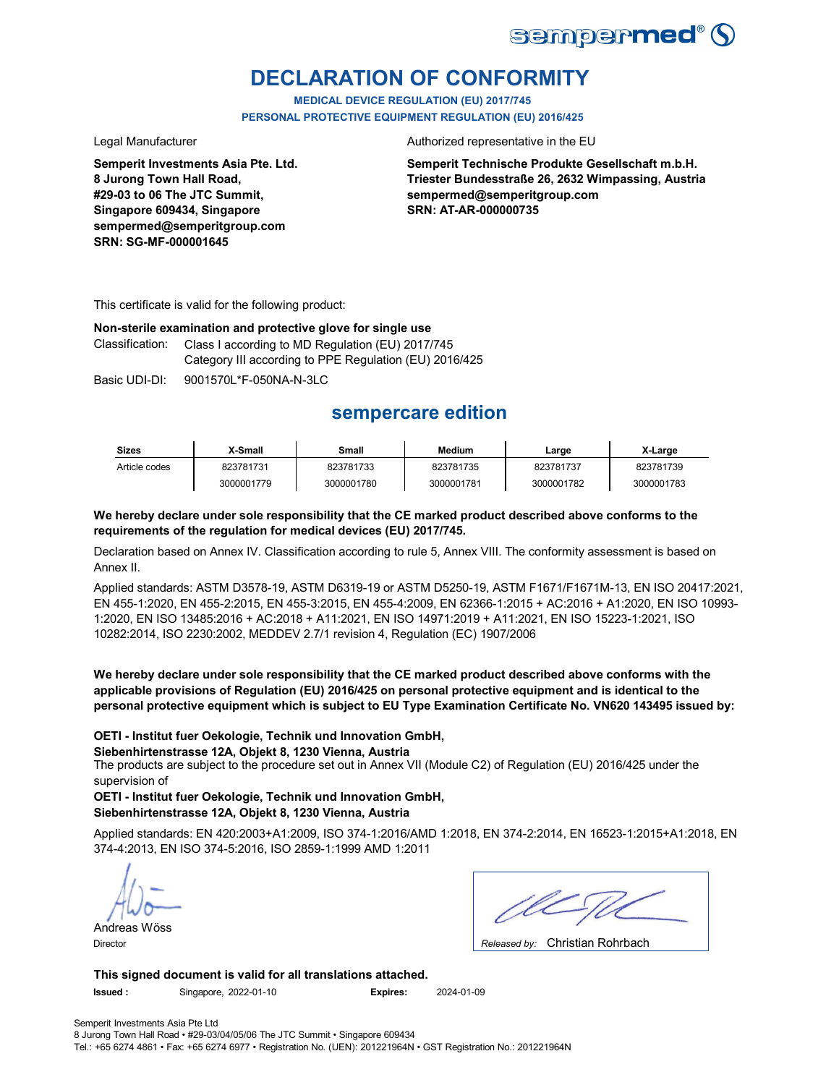

# **DECLARATION OF CONFORMITY**

**MEDICAL DEVICE REGULATION (EU) 2017/745 PERSONAL PROTECTIVE EQUIPMENT REGULATION (EU) 2016/425**

**Semperit Investments Asia Pte. Ltd. 8 Jurong Town Hall Road, #29-03 to 06 The JTC Summit, Singapore 609434, Singapore sempermed@semperitgroup.com SRN: SG-MF-000001645**

Legal Manufacturer **Authorized representative in the EU** 

**Semperit Technische Produkte Gesellschaft m.b.H. Triester Bundesstraße 26, 2632 Wimpassing, Austria sempermed@semperitgroup.com SRN: AT-AR-000000735**

This certificate is valid for the following product:

### **Non-sterile examination and protective glove for single use**

Classification: Class I according to MD Regulation (EU) 2017/745 Category III according to PPE Regulation (EU) 2016/425

Basic UDI-DI: 9001570L\*F-050NA-N-3LC Basic 9001570L\*F-050NA-N-3L

## **sempercare edition**

| <b>Sizes</b>  | X-Small    | Small      | <b>Medium</b> | Large      | X-Large    |
|---------------|------------|------------|---------------|------------|------------|
| Article codes | 823781731  | 823781733  | 823781735     | 823781737  | 823781739  |
|               | 3000001779 | 3000001780 | 3000001781    | 3000001782 | 3000001783 |

## **We hereby declare under sole responsibility that the CE marked product described above conforms to the requirements of the regulation for medical devices (EU) 2017/745.**

Declaration based on Annex IV. Classification according to rule 5, Annex VIII. The conformity assessment is based on Annex II.

Applied standards: ASTM D3578-19, ASTM D6319-19 or ASTM D5250-19, ASTM F1671/F1671M-13, EN ISO 20417:2021, EN 455-1:2020, EN 455-2:2015, EN 455-3:2015, EN 455-4:2009, EN 62366-1:2015 + AC:2016 + A1:2020, EN ISO 10993- 1:2020, EN ISO 13485:2016 + AC:2018 + A11:2021, EN ISO 14971:2019 + A11:2021, EN ISO 15223-1:2021, ISO 10282:2014, ISO 2230:2002, MEDDEV 2.7/1 revision 4, Regulation (EC) 1907/2006

**We hereby declare under sole responsibility that the CE marked product described above conforms with the applicable provisions of Regulation (EU) 2016/425 on personal protective equipment and is identical to the personal protective equipment which is subject to EU Type Examination Certificate No. VN620 143495 issued by:**

## **OETI - Institut fuer Oekologie, Technik und Innovation GmbH,**

### **Siebenhirtenstrasse 12A, Objekt 8, 1230 Vienna, Austria**

The products are subject to the procedure set out in Annex VII (Module C2) of Regulation (EU) 2016/425 under the supervision of

**OETI - Institut fuer Oekologie, Technik und Innovation GmbH, Siebenhirtenstrasse 12A, Objekt 8, 1230 Vienna, Austria**

Applied standards: EN 420:2003+A1:2009, ISO 374-1:2016/AMD 1:2018, EN 374-2:2014, EN 16523-1:2015+A1:2018, EN 374-4:2013, EN ISO 374-5:2016, ISO 2859-1:1999 AMD 1:2011

Andreas Wöss

Christian Rohrbach Director *Released by:* 

**This signed document is valid for all translations attached. Issued :** Singapore, 2022-01-10 **Expires:** 2024-01-09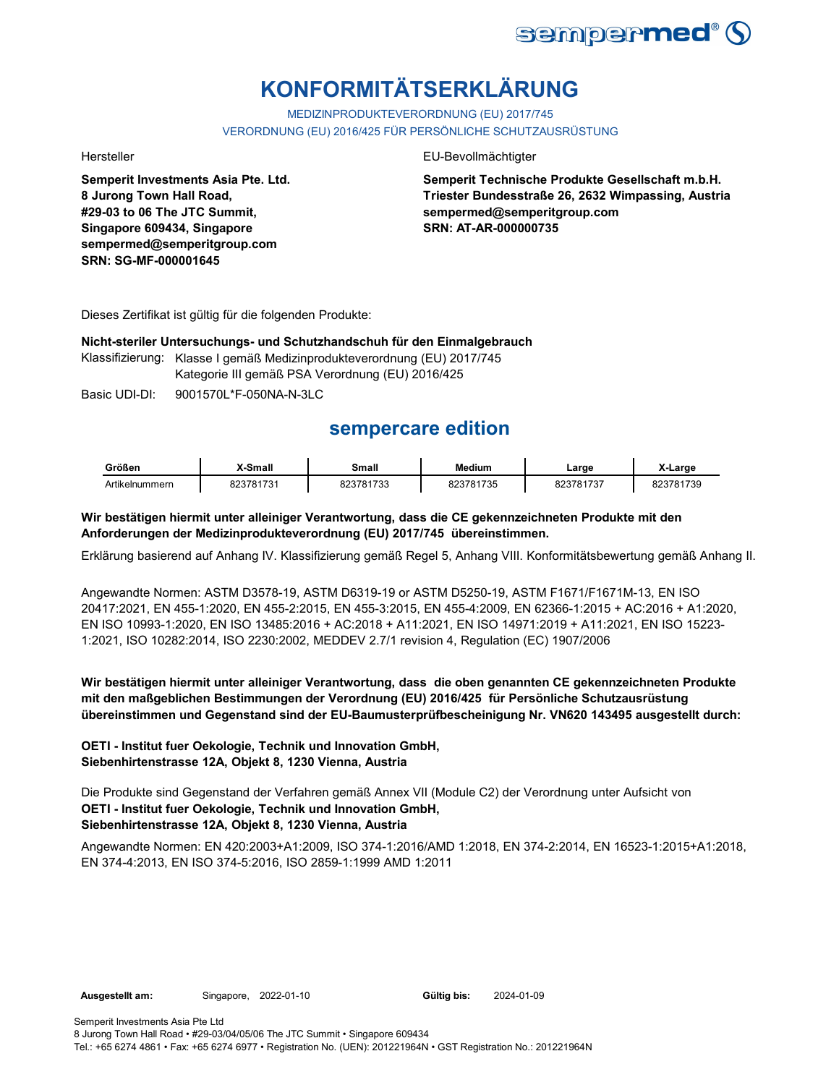

# **KONFORMITÄTSERKLÄRUNG**

MEDIZINPRODUKTEVERORDNUNG (EU) 2017/745 VERORDNUNG (EU) 2016/425 FÜR PERSÖNLICHE SCHUTZAUSRÜSTUNG

**Semperit Investments Asia Pte. Ltd. 8 Jurong Town Hall Road, #29-03 to 06 The JTC Summit, Singapore 609434, Singapore sempermed@semperitgroup.com SRN: SG-MF-000001645**

### Hersteller EU-Bevollmächtigter

**Semperit Technische Produkte Gesellschaft m.b.H. Triester Bundesstraße 26, 2632 Wimpassing, Austria sempermed@semperitgroup.com SRN: AT-AR-000000735**

Dieses Zertifikat ist gültig für die folgenden Produkte:

## **Nicht-steriler Untersuchungs- und Schutzhandschuh für den Einmalgebrauch**

Klassifizierung: Klasse I gemäß Medizinprodukteverordnung (EU) 2017/745

Kategorie III gemäß PSA Verordnung (EU) 2016/425

Basic UDI-DI: 9001570L\*F-050NA-N-3LC

## **sempercare edition**

| Größen         | X-Small   | Small     | <b>Medium</b> | ∟arge     | X-Large   |
|----------------|-----------|-----------|---------------|-----------|-----------|
| Artikelnummern | 823781731 | 823781733 | 823781735     | 823781737 | 823781739 |

## **Wir bestätigen hiermit unter alleiniger Verantwortung, dass die CE gekennzeichneten Produkte mit den Anforderungen der Medizinprodukteverordnung (EU) 2017/745 übereinstimmen.**

Erklärung basierend auf Anhang IV. Klassifizierung gemäß Regel 5, Anhang VIII. Konformitätsbewertung gemäß Anhang II.

Angewandte Normen: ASTM D3578-19, ASTM D6319-19 or ASTM D5250-19, ASTM F1671/F1671M-13, EN ISO 20417:2021, EN 455-1:2020, EN 455-2:2015, EN 455-3:2015, EN 455-4:2009, EN 62366-1:2015 + AC:2016 + A1:2020, EN ISO 10993-1:2020, EN ISO 13485:2016 + AC:2018 + A11:2021, EN ISO 14971:2019 + A11:2021, EN ISO 15223- 1:2021, ISO 10282:2014, ISO 2230:2002, MEDDEV 2.7/1 revision 4, Regulation (EC) 1907/2006

## **Wir bestätigen hiermit unter alleiniger Verantwortung, dass die oben genannten CE gekennzeichneten Produkte mit den maßgeblichen Bestimmungen der Verordnung (EU) 2016/425 für Persönliche Schutzausrüstung übereinstimmen und Gegenstand sind der EU-Baumusterprüfbescheinigung Nr. VN620 143495 ausgestellt durch:**

## **OETI - Institut fuer Oekologie, Technik und Innovation GmbH, Siebenhirtenstrasse 12A, Objekt 8, 1230 Vienna, Austria**

**OETI - Institut fuer Oekologie, Technik und Innovation GmbH, Siebenhirtenstrasse 12A, Objekt 8, 1230 Vienna, Austria** Die Produkte sind Gegenstand der Verfahren gemäß Annex VII (Module C2) der Verordnung unter Aufsicht von

Angewandte Normen: EN 420:2003+A1:2009, ISO 374-1:2016/AMD 1:2018, EN 374-2:2014, EN 16523-1:2015+A1:2018, EN 374-4:2013, EN ISO 374-5:2016, ISO 2859-1:1999 AMD 1:2011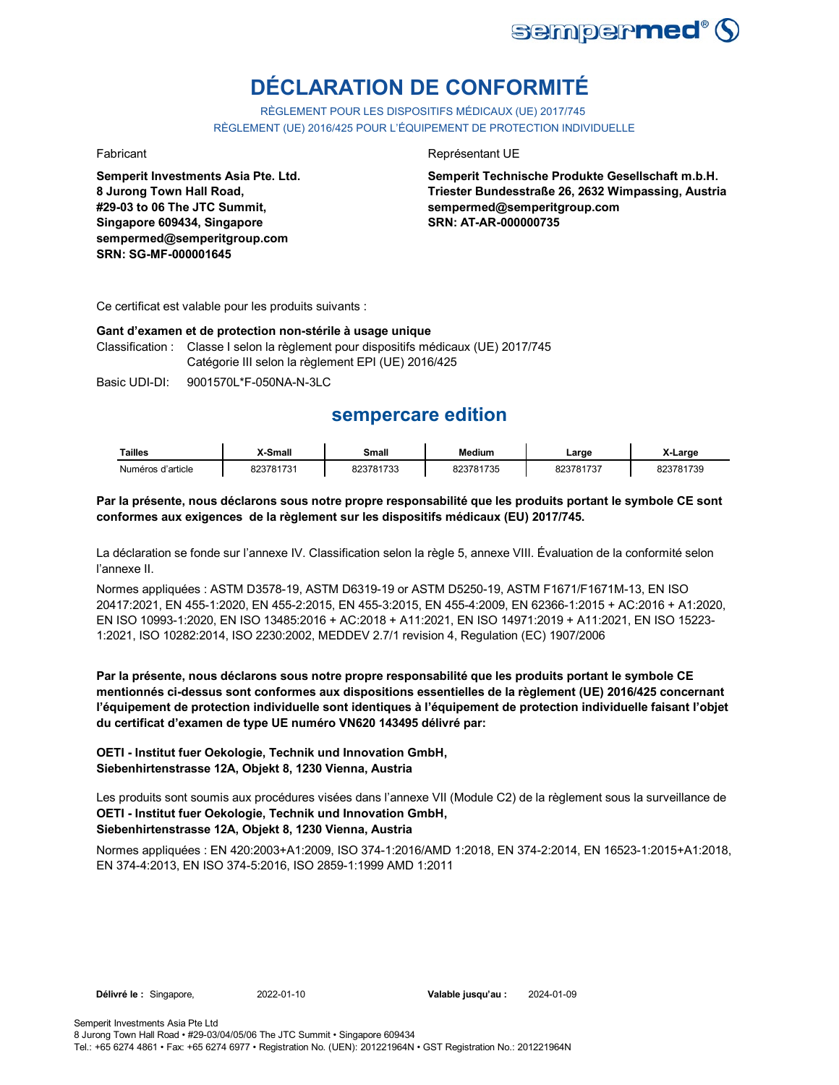

# **DÉCLARATION DE CONFORMITÉ**

RÈGLEMENT POUR LES DISPOSITIFS MÉDICAUX (UE) 2017/745 RÈGLEMENT (UE) 2016/425 POUR L'ÉQUIPEMENT DE PROTECTION INDIVIDUELLE

**Semperit Investments Asia Pte. Ltd. 8 Jurong Town Hall Road, #29-03 to 06 The JTC Summit, Singapore 609434, Singapore sempermed@semperitgroup.com SRN: SG-MF-000001645**

## Fabricant **Représentant UE**

**Semperit Technische Produkte Gesellschaft m.b.H. Triester Bundesstraße 26, 2632 Wimpassing, Austria sempermed@semperitgroup.com SRN: AT-AR-000000735**

Ce certificat est valable pour les produits suivants :

### **Gant d'examen et de protection non-stérile à usage unique**

Classification : Classe I selon la règlement pour dispositifs médicaux (UE) 2017/745 Catégorie III selon la règlement EPI (UE) 2016/425

Basic UDI-DI: 9001570L\*F-050NA-N-3LC 9001570L\*F-050NA-N

## **sempercare edition**

| Tailles           | X-Small   | Small     | <b>Medium</b> | ∟arge     | X-Large   |
|-------------------|-----------|-----------|---------------|-----------|-----------|
| Numéros d'article | 823781731 | 823781733 | 823781735     | 823781737 | 823781739 |

**Par la présente, nous déclarons sous notre propre responsabilité que les produits portant le symbole CE sont conformes aux exigences de la règlement sur les dispositifs médicaux (EU) 2017/745.**

La déclaration se fonde sur l'annexe IV. Classification selon la règle 5, annexe VIII. Évaluation de la conformité selon l'annexe II.

Normes appliquées : ASTM D3578-19, ASTM D6319-19 or ASTM D5250-19, ASTM F1671/F1671M-13, EN ISO 20417:2021, EN 455-1:2020, EN 455-2:2015, EN 455-3:2015, EN 455-4:2009, EN 62366-1:2015 + AC:2016 + A1:2020, EN ISO 10993-1:2020, EN ISO 13485:2016 + AC:2018 + A11:2021, EN ISO 14971:2019 + A11:2021, EN ISO 15223- 1:2021, ISO 10282:2014, ISO 2230:2002, MEDDEV 2.7/1 revision 4, Regulation (EC) 1907/2006

**Par la présente, nous déclarons sous notre propre responsabilité que les produits portant le symbole CE mentionnés ci-dessus sont conformes aux dispositions essentielles de la règlement (UE) 2016/425 concernant l'équipement de protection individuelle sont identiques à l'équipement de protection individuelle faisant l'objet du certificat d'examen de type UE numéro VN620 143495 délivré par:**

## **OETI - Institut fuer Oekologie, Technik und Innovation GmbH, Siebenhirtenstrasse 12A, Objekt 8, 1230 Vienna, Austria**

**OETI - Institut fuer Oekologie, Technik und Innovation GmbH, Siebenhirtenstrasse 12A, Objekt 8, 1230 Vienna, Austria** Les produits sont soumis aux procédures visées dans l'annexe VII (Module C2) de la règlement sous la surveillance de

Normes appliquées : EN 420:2003+A1:2009, ISO 374-1:2016/AMD 1:2018, EN 374-2:2014, EN 16523-1:2015+A1:2018, EN 374-4:2013, EN ISO 374-5:2016, ISO 2859-1:1999 AMD 1:2011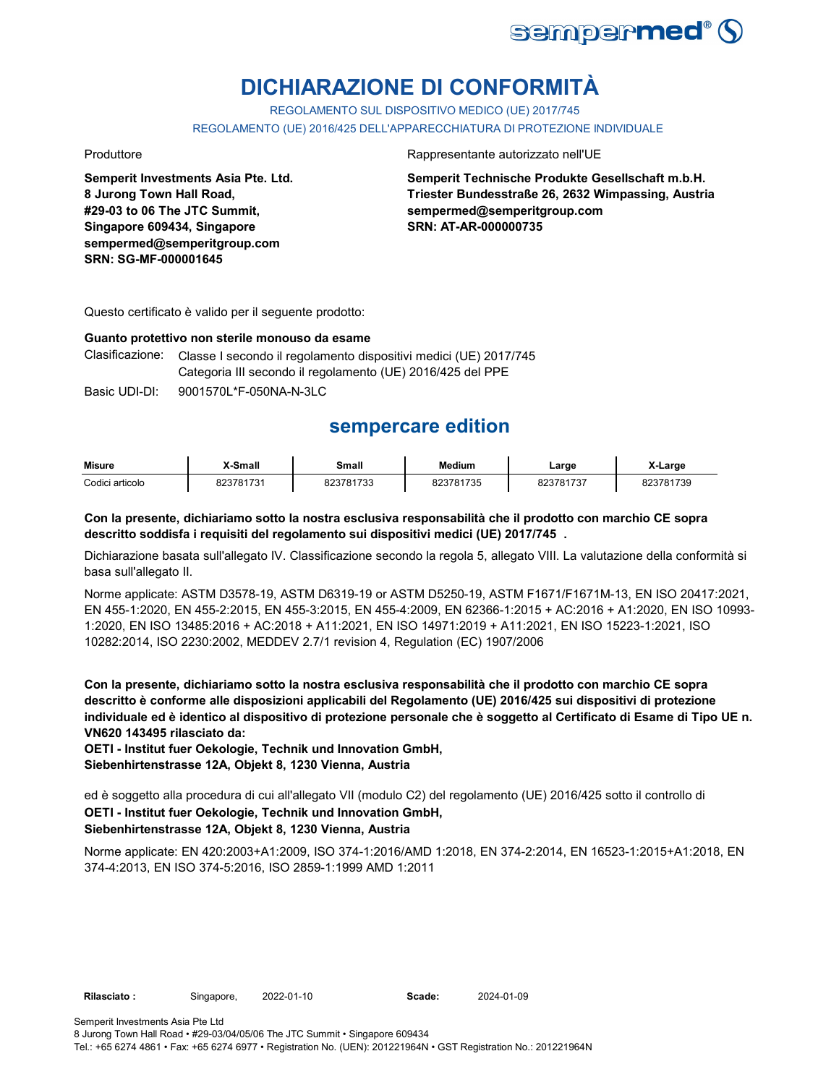

# **DICHIARAZIONE DI CONFORMITÀ**

REGOLAMENTO SUL DISPOSITIVO MEDICO (UE) 2017/745 REGOLAMENTO (UE) 2016/425 DELL'APPARECCHIATURA DI PROTEZIONE INDIVIDUALE

**Semperit Investments Asia Pte. Ltd. 8 Jurong Town Hall Road, #29-03 to 06 The JTC Summit, Singapore 609434, Singapore sempermed@semperitgroup.com SRN: SG-MF-000001645**

Produttore Rappresentante autorizzato nell'UE

**Semperit Technische Produkte Gesellschaft m.b.H. Triester Bundesstraße 26, 2632 Wimpassing, Austria sempermed@semperitgroup.com SRN: AT-AR-000000735**

Questo certificato è valido per il seguente prodotto:

### **Guanto protettivo non sterile monouso da esame**

Clasificazione: Classe I secondo il regolamento dispositivi medici (UE) 2017/745 Categoria III secondo il regolamento (UE) 2016/425 del PPE

Basic UDI-DI: 9001570L \*F-050NA-N-3LC

## **sempercare edition**

| <b>Misure</b>   | X-Small           | Small     | <b>Medium</b> | Large     | X-Large   |
|-----------------|-------------------|-----------|---------------|-----------|-----------|
| Codici articolo | 823781731<br>ŏ∠3ı | 823781733 | 823781735     | 823781737 | 823781739 |

## **Con la presente, dichiariamo sotto la nostra esclusiva responsabilità che il prodotto con marchio CE sopra descritto soddisfa i requisiti del regolamento sui dispositivi medici (UE) 2017/745 .**

Dichiarazione basata sull'allegato IV. Classificazione secondo la regola 5, allegato VIII. La valutazione della conformità si basa sull'allegato II.

Norme applicate: ASTM D3578-19, ASTM D6319-19 or ASTM D5250-19, ASTM F1671/F1671M-13, EN ISO 20417:2021, EN 455-1:2020, EN 455-2:2015, EN 455-3:2015, EN 455-4:2009, EN 62366-1:2015 + AC:2016 + A1:2020, EN ISO 10993- 1:2020, EN ISO 13485:2016 + AC:2018 + A11:2021, EN ISO 14971:2019 + A11:2021, EN ISO 15223-1:2021, ISO 10282:2014, ISO 2230:2002, MEDDEV 2.7/1 revision 4, Regulation (EC) 1907/2006

**Con la presente, dichiariamo sotto la nostra esclusiva responsabilità che il prodotto con marchio CE sopra descritto è conforme alle disposizioni applicabili del Regolamento (UE) 2016/425 sui dispositivi di protezione individuale ed è identico al dispositivo di protezione personale che è soggetto al Certificato di Esame di Tipo UE n. VN620 143495 rilasciato da:**

**OETI - Institut fuer Oekologie, Technik und Innovation GmbH, Siebenhirtenstrasse 12A, Objekt 8, 1230 Vienna, Austria**

**OETI - Institut fuer Oekologie, Technik und Innovation GmbH,**  ed è soggetto alla procedura di cui all'allegato VII (modulo C2) del regolamento (UE) 2016/425 sotto il controllo di

## **Siebenhirtenstrasse 12A, Objekt 8, 1230 Vienna, Austria**

8 Jurong Town Hall Road • #29-03/04/05/06 The JTC Summit • Singapore 609434

Norme applicate: EN 420:2003+A1:2009, ISO 374-1:2016/AMD 1:2018, EN 374-2:2014, EN 16523-1:2015+A1:2018, EN 374-4:2013, EN ISO 374-5:2016, ISO 2859-1:1999 AMD 1:2011

Semperit Investments Asia Pte Ltd

Tel.: +65 6274 4861 • Fax: +65 6274 6977 • Registration No. (UEN): 201221964N • GST Registration No.: 201221964N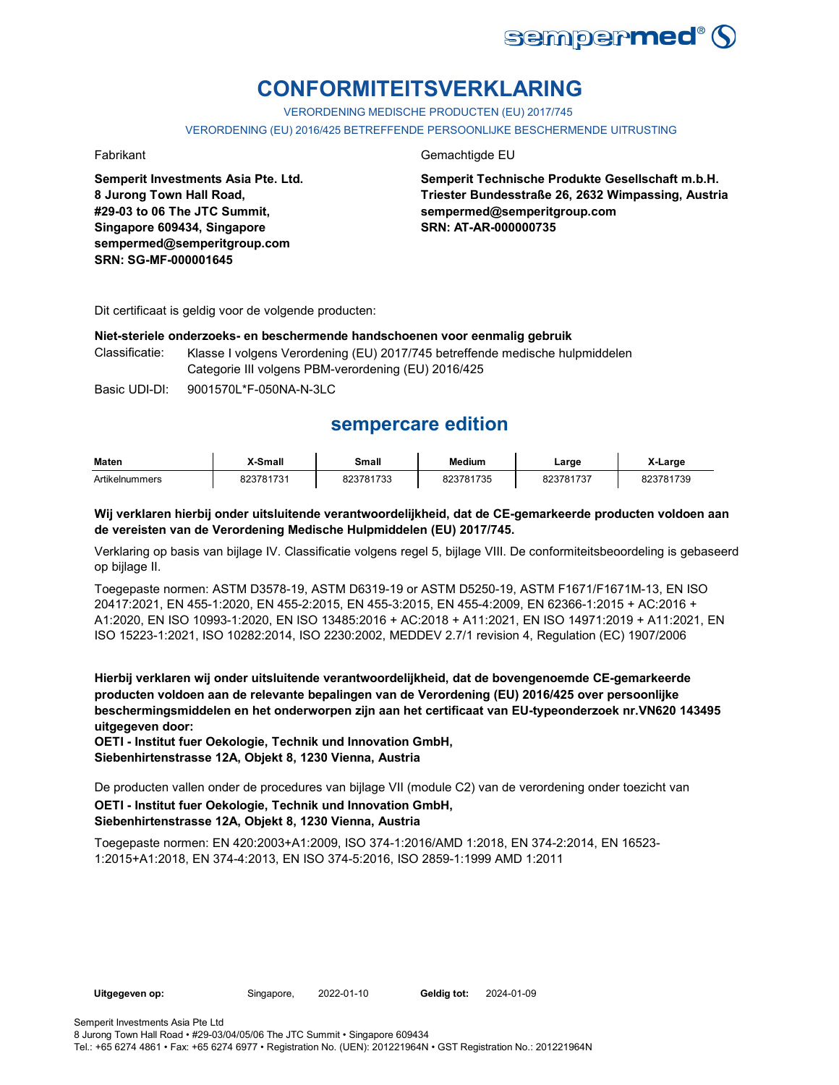

# **CONFORMITEITSVERKLARING**

VERORDENING MEDISCHE PRODUCTEN (EU) 2017/745

VERORDENING (EU) 2016/425 BETREFFENDE PERSOONLIJKE BESCHERMENDE UITRUSTING

**Semperit Investments Asia Pte. Ltd. 8 Jurong Town Hall Road, #29-03 to 06 The JTC Summit, Singapore 609434, Singapore sempermed@semperitgroup.com SRN: SG-MF-000001645**

### Fabrikant Gemachtigde EU

**Semperit Technische Produkte Gesellschaft m.b.H. Triester Bundesstraße 26, 2632 Wimpassing, Austria sempermed@semperitgroup.com SRN: AT-AR-000000735**

Dit certificaat is geldig voor de volgende producten:

## **Niet-steriele onderzoeks- en beschermende handschoenen voor eenmalig gebruik**

Classificatie: Klasse I volgens Verordening (EU) 2017/745 betreffende medische hulpmiddelen Categorie III volgens PBM-verordening (EU) 2016/425

Basic UDI-DI: 9001570L\*F-050NA-N-3LC 9001570L\*F-050NA-N-

## **sempercare edition**

| <b>Maten</b>   | X-Small   | Small             | <b>Medium</b>  | ∟arge                               | X-Large             |
|----------------|-----------|-------------------|----------------|-------------------------------------|---------------------|
| Artikelnummers | 823781731 | 23781733<br>ו ט∠ס | 823781<br>1735 | ົ <sup>າຊ</sup> 7817 ວັນ<br>، ت ے ت | 781739<br>റ~<br>701 |

**Wij verklaren hierbij onder uitsluitende verantwoordelijkheid, dat de CE-gemarkeerde producten voldoen aan de vereisten van de Verordening Medische Hulpmiddelen (EU) 2017/745.**

Verklaring op basis van bijlage IV. Classificatie volgens regel 5, bijlage VIII. De conformiteitsbeoordeling is gebaseerd op bijlage II.

Toegepaste normen: ASTM D3578-19, ASTM D6319-19 or ASTM D5250-19, ASTM F1671/F1671M-13, EN ISO 20417:2021, EN 455-1:2020, EN 455-2:2015, EN 455-3:2015, EN 455-4:2009, EN 62366-1:2015 + AC:2016 + A1:2020, EN ISO 10993-1:2020, EN ISO 13485:2016 + AC:2018 + A11:2021, EN ISO 14971:2019 + A11:2021, EN ISO 15223-1:2021, ISO 10282:2014, ISO 2230:2002, MEDDEV 2.7/1 revision 4, Regulation (EC) 1907/2006

**Hierbij verklaren wij onder uitsluitende verantwoordelijkheid, dat de bovengenoemde CE-gemarkeerde producten voldoen aan de relevante bepalingen van de Verordening (EU) 2016/425 over persoonlijke beschermingsmiddelen en het onderworpen zijn aan het certificaat van EU-typeonderzoek nr.VN620 143495 uitgegeven door:**

**OETI - Institut fuer Oekologie, Technik und Innovation GmbH, Siebenhirtenstrasse 12A, Objekt 8, 1230 Vienna, Austria**

De producten vallen onder de procedures van bijlage VII (module C2) van de verordening onder toezicht van

## **OETI - Institut fuer Oekologie, Technik und Innovation GmbH, Siebenhirtenstrasse 12A, Objekt 8, 1230 Vienna, Austria**

Toegepaste normen: EN 420:2003+A1:2009, ISO 374-1:2016/AMD 1:2018, EN 374-2:2014, EN 16523- 1:2015+A1:2018, EN 374-4:2013, EN ISO 374-5:2016, ISO 2859-1:1999 AMD 1:2011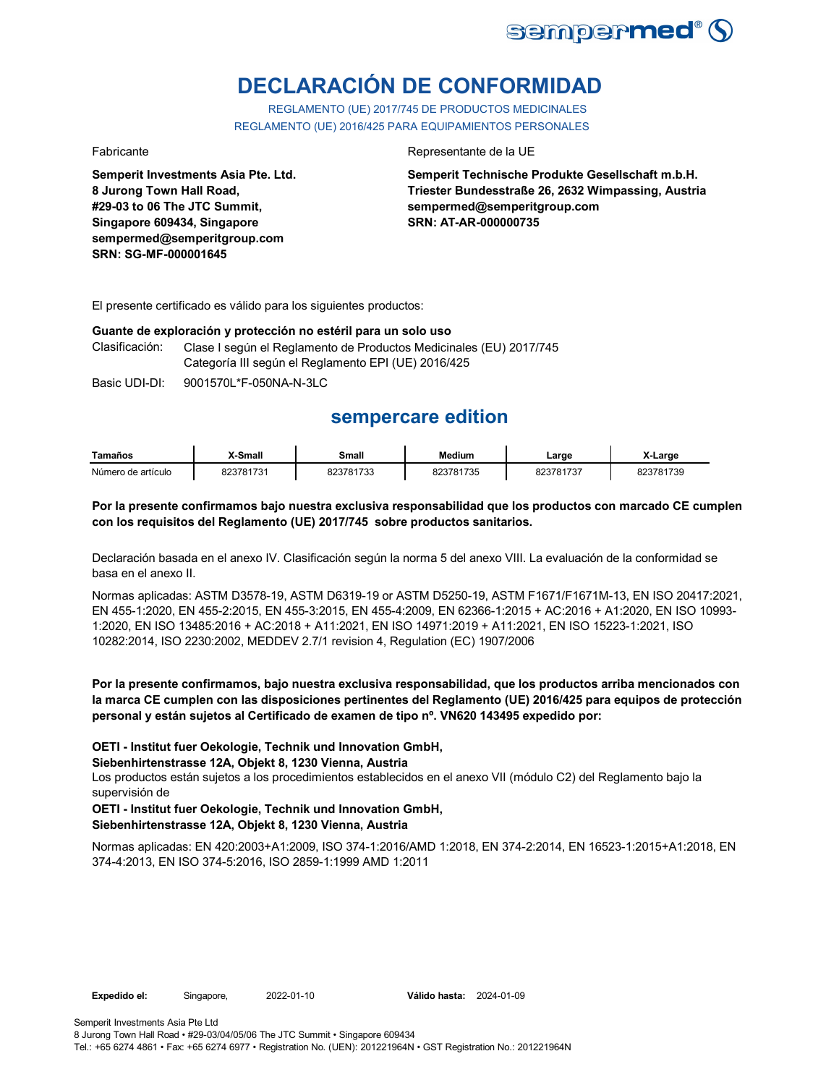

# **DECLARACIÓN DE CONFORMIDAD**

REGLAMENTO (UE) 2017/745 DE PRODUCTOS MEDICINALES REGLAMENTO (UE) 2016/425 PARA EQUIPAMIENTOS PERSONALES

**Semperit Investments Asia Pte. Ltd. 8 Jurong Town Hall Road, #29-03 to 06 The JTC Summit, Singapore 609434, Singapore sempermed@semperitgroup.com SRN: SG-MF-000001645**

### Fabricante Representante de la UE

**Semperit Technische Produkte Gesellschaft m.b.H. Triester Bundesstraße 26, 2632 Wimpassing, Austria sempermed@semperitgroup.com SRN: AT-AR-000000735**

El presente certificado es válido para los siguientes productos:

### **Guante de exploración y protección no estéril para un solo uso**

| Clasificación: | Clase I según el Reglamento de Productos Medicinales (EU) 2017/745 |
|----------------|--------------------------------------------------------------------|
|                | Categoría III según el Reglamento EPI (UE) 2016/425                |

Basic UDI-DI: 9001570L\*F-050NA-N-3LC

## **sempercare edition**

| Tamaños            | <b>X-Small</b> | Small     | <b>Medium</b> | Large     | X-Large   |
|--------------------|----------------|-----------|---------------|-----------|-----------|
| Número de artículo | 823781731      | 823781733 | 823781735     | 823781737 | 823781739 |

### **Por la presente confirmamos bajo nuestra exclusiva responsabilidad que los productos con marcado CE cumplen con los requisitos del Reglamento (UE) 2017/745 sobre productos sanitarios.**

Declaración basada en el anexo IV. Clasificación según la norma 5 del anexo VIII. La evaluación de la conformidad se basa en el anexo II.

Normas aplicadas: ASTM D3578-19, ASTM D6319-19 or ASTM D5250-19, ASTM F1671/F1671M-13, EN ISO 20417:2021, EN 455-1:2020, EN 455-2:2015, EN 455-3:2015, EN 455-4:2009, EN 62366-1:2015 + AC:2016 + A1:2020, EN ISO 10993- 1:2020, EN ISO 13485:2016 + AC:2018 + A11:2021, EN ISO 14971:2019 + A11:2021, EN ISO 15223-1:2021, ISO 10282:2014, ISO 2230:2002, MEDDEV 2.7/1 revision 4, Regulation (EC) 1907/2006

## **Por la presente confirmamos, bajo nuestra exclusiva responsabilidad, que los productos arriba mencionados con la marca CE cumplen con las disposiciones pertinentes del Reglamento (UE) 2016/425 para equipos de protección personal y están sujetos al Certificado de examen de tipo nº. VN620 143495 expedido por:**

## **OETI - Institut fuer Oekologie, Technik und Innovation GmbH,**

**Siebenhirtenstrasse 12A, Objekt 8, 1230 Vienna, Austria**

Los productos están sujetos a los procedimientos establecidos en el anexo VII (módulo C2) del Reglamento bajo la supervisión de

## **OETI - Institut fuer Oekologie, Technik und Innovation GmbH, Siebenhirtenstrasse 12A, Objekt 8, 1230 Vienna, Austria**

Normas aplicadas: EN 420:2003+A1:2009, ISO 374-1:2016/AMD 1:2018, EN 374-2:2014, EN 16523-1:2015+A1:2018, EN 374-4:2013, EN ISO 374-5:2016, ISO 2859-1:1999 AMD 1:2011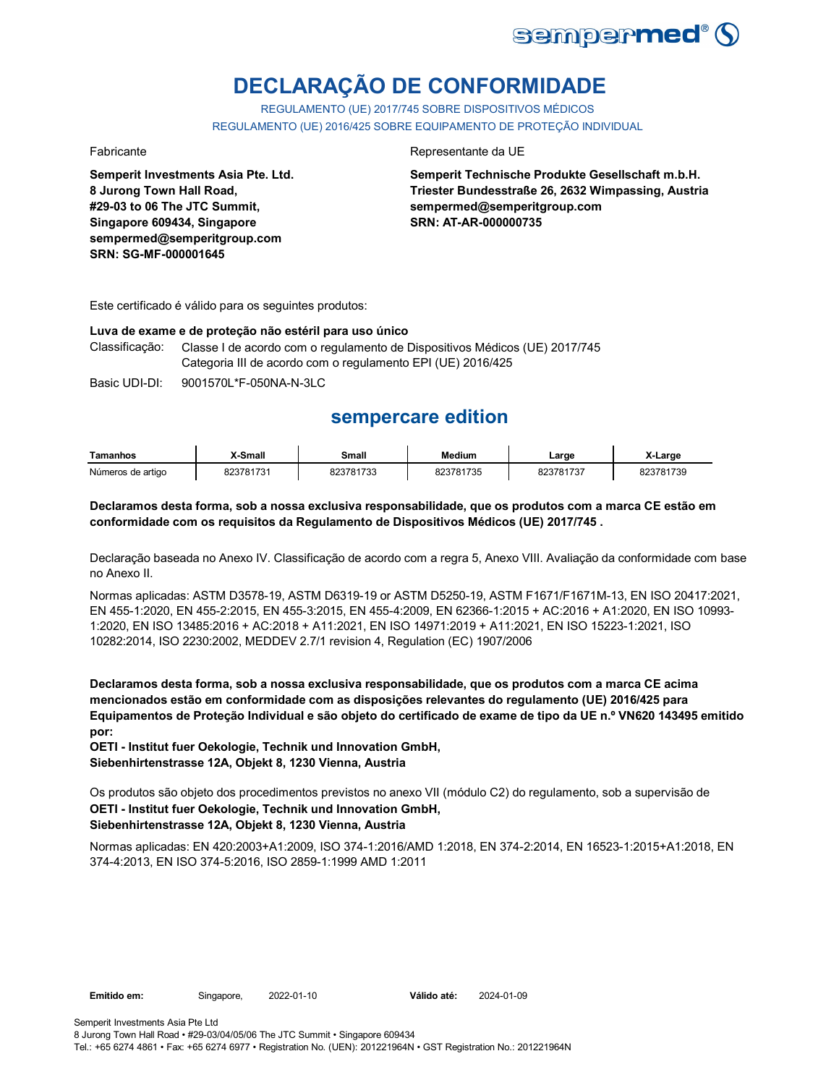

# **DECLARAÇÃO DE CONFORMIDADE**

REGULAMENTO (UE) 2017/745 SOBRE DISPOSITIVOS MÉDICOS REGULAMENTO (UE) 2016/425 SOBRE EQUIPAMENTO DE PROTEÇÃO INDIVIDUAL

**Semperit Investments Asia Pte. Ltd. 8 Jurong Town Hall Road, #29-03 to 06 The JTC Summit, Singapore 609434, Singapore sempermed@semperitgroup.com SRN: SG-MF-000001645**

## Fabricante da UE

**Semperit Technische Produkte Gesellschaft m.b.H. Triester Bundesstraße 26, 2632 Wimpassing, Austria sempermed@semperitgroup.com SRN: AT-AR-000000735**

Este certificado é válido para os seguintes produtos:

### **Luva de exame e de proteção não estéril para uso único**

Classificação: Classe I de acordo com o regulamento de Dispositivos Médicos (UE) 2017/745 Categoria III de acordo com o regulamento EPI (UE) 2016/425

Basic UDI-DI: 9001570L\*F-050NA-N-3LC 9001570L\*F-050NA-N-3L

## **sempercare edition**

| Tamanhos          | X-Small   | Small     | <b>Medium</b> | ∟arge     | X-Large   |
|-------------------|-----------|-----------|---------------|-----------|-----------|
| Números de artigo | 823781731 | 823781733 | 823781735     | 823781737 | 823781739 |

### **Declaramos desta forma, sob a nossa exclusiva responsabilidade, que os produtos com a marca CE estão em conformidade com os requisitos da Regulamento de Dispositivos Médicos (UE) 2017/745 .**

Declaração baseada no Anexo IV. Classificação de acordo com a regra 5, Anexo VIII. Avaliação da conformidade com base no Anexo II.

Normas aplicadas: ASTM D3578-19, ASTM D6319-19 or ASTM D5250-19, ASTM F1671/F1671M-13, EN ISO 20417:2021, EN 455-1:2020, EN 455-2:2015, EN 455-3:2015, EN 455-4:2009, EN 62366-1:2015 + AC:2016 + A1:2020, EN ISO 10993- 1:2020, EN ISO 13485:2016 + AC:2018 + A11:2021, EN ISO 14971:2019 + A11:2021, EN ISO 15223-1:2021, ISO 10282:2014, ISO 2230:2002, MEDDEV 2.7/1 revision 4, Regulation (EC) 1907/2006

**Declaramos desta forma, sob a nossa exclusiva responsabilidade, que os produtos com a marca CE acima mencionados estão em conformidade com as disposições relevantes do regulamento (UE) 2016/425 para Equipamentos de Proteção Individual e são objeto do certificado de exame de tipo da UE n.º VN620 143495 emitido por:**

**OETI - Institut fuer Oekologie, Technik und Innovation GmbH, Siebenhirtenstrasse 12A, Objekt 8, 1230 Vienna, Austria**

**OETI - Institut fuer Oekologie, Technik und Innovation GmbH, Siebenhirtenstrasse 12A, Objekt 8, 1230 Vienna, Austria** Os produtos são objeto dos procedimentos previstos no anexo VII (módulo C2) do regulamento, sob a supervisão de

Normas aplicadas: EN 420:2003+A1:2009, ISO 374-1:2016/AMD 1:2018, EN 374-2:2014, EN 16523-1:2015+A1:2018, EN 374-4:2013, EN ISO 374-5:2016, ISO 2859-1:1999 AMD 1:2011

**Emitido em:** Singapore, 2022-01-10 **Válido até:** 2024-01-09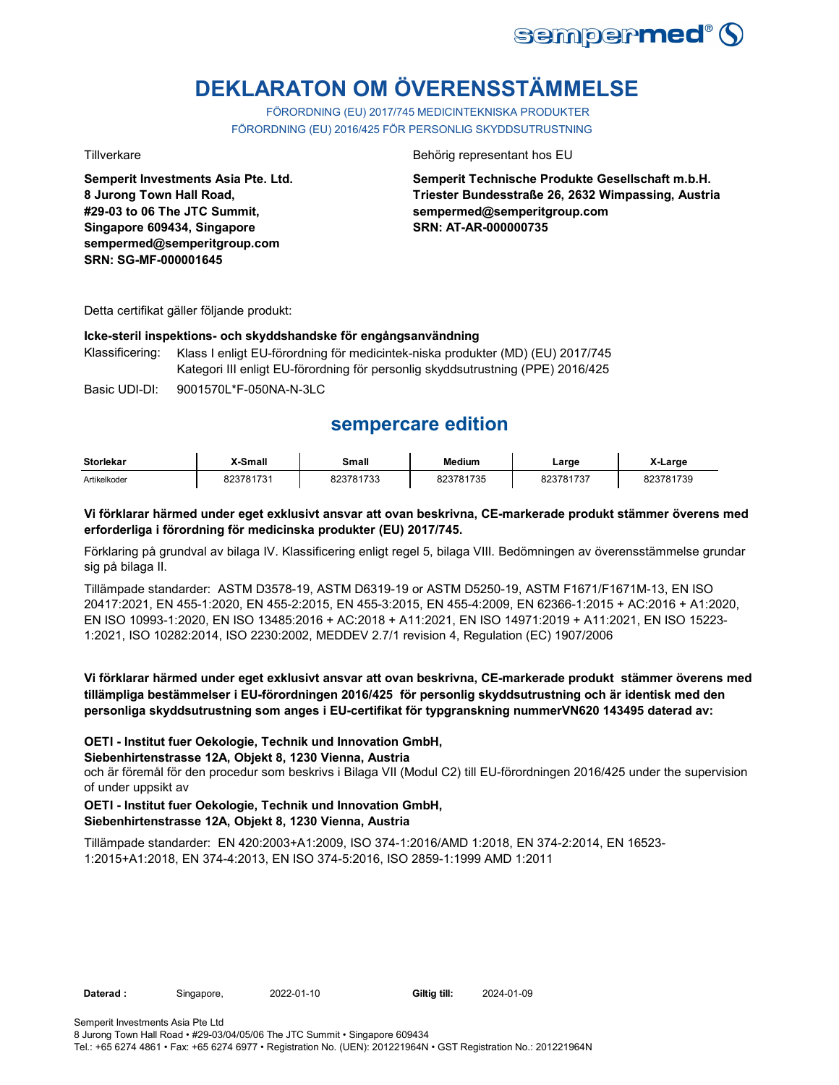

# **DEKLARATON OM ÖVERENSSTÄMMELSE**

FÖRORDNING (EU) 2017/745 MEDICINTEKNISKA PRODUKTER FÖRORDNING (EU) 2016/425 FÖR PERSONLIG SKYDDSUTRUSTNING

**Semperit Investments Asia Pte. Ltd. 8 Jurong Town Hall Road, #29-03 to 06 The JTC Summit, Singapore 609434, Singapore sempermed@semperitgroup.com SRN: SG-MF-000001645**

### Tillverkare **Behörig representant hos EU**

**Semperit Technische Produkte Gesellschaft m.b.H. Triester Bundesstraße 26, 2632 Wimpassing, Austria sempermed@semperitgroup.com SRN: AT-AR-000000735**

Detta certifikat gäller följande produkt:

### **Icke-steril inspektions- och skyddshandske för engångsanvändning**

Klassificering: Klass I enligt EU-förordning för medicintek-niska produkter (MD) (EU) 2017/745 Kategori III enligt EU-förordning för personlig skyddsutrustning (PPE) 2016/425

Basic UDI-DI: 9001570L\*F-050NA-N-3LC 9001570L\*F-050NA-N-3L

## **sempercare edition**

| <b>Storlekar</b> | -Small    | Small     | <b>Medium</b> | Large<br>___                          | , K-Larɑe |
|------------------|-----------|-----------|---------------|---------------------------------------|-----------|
| Artikelkoder     | 823781731 | 323781733 | 3781735       | 000704707<br>$\overline{\phantom{a}}$ | 823781739 |

## **Vi förklarar härmed under eget exklusivt ansvar att ovan beskrivna, CE-markerade produkt stämmer överens med erforderliga i förordning för medicinska produkter (EU) 2017/745.**

Förklaring på grundval av bilaga IV. Klassificering enligt regel 5, bilaga VIII. Bedömningen av överensstämmelse grundar sig på bilaga II.

Tillämpade standarder: ASTM D3578-19, ASTM D6319-19 or ASTM D5250-19, ASTM F1671/F1671M-13, EN ISO 20417:2021, EN 455-1:2020, EN 455-2:2015, EN 455-3:2015, EN 455-4:2009, EN 62366-1:2015 + AC:2016 + A1:2020, EN ISO 10993-1:2020, EN ISO 13485:2016 + AC:2018 + A11:2021, EN ISO 14971:2019 + A11:2021, EN ISO 15223- 1:2021, ISO 10282:2014, ISO 2230:2002, MEDDEV 2.7/1 revision 4, Regulation (EC) 1907/2006

## **Vi förklarar härmed under eget exklusivt ansvar att ovan beskrivna, CE-markerade produkt stämmer överens med tillämpliga bestämmelser i EU-förordningen 2016/425 för personlig skyddsutrustning och är identisk med den personliga skyddsutrustning som anges i EU-certifikat för typgranskning nummerVN620 143495 daterad av:**

## **OETI - Institut fuer Oekologie, Technik und Innovation GmbH,**

### **Siebenhirtenstrasse 12A, Objekt 8, 1230 Vienna, Austria**

och är föremål för den procedur som beskrivs i Bilaga VII (Modul C2) till EU-förordningen 2016/425 under the supervision of under uppsikt av

## **OETI - Institut fuer Oekologie, Technik und Innovation GmbH, Siebenhirtenstrasse 12A, Objekt 8, 1230 Vienna, Austria**

Tillämpade standarder: EN 420:2003+A1:2009, ISO 374-1:2016/AMD 1:2018, EN 374-2:2014, EN 16523- 1:2015+A1:2018, EN 374-4:2013, EN ISO 374-5:2016, ISO 2859-1:1999 AMD 1:2011

**Daterad :** Singapore, 2022-01-10 **Giltig till:** 2024-01-09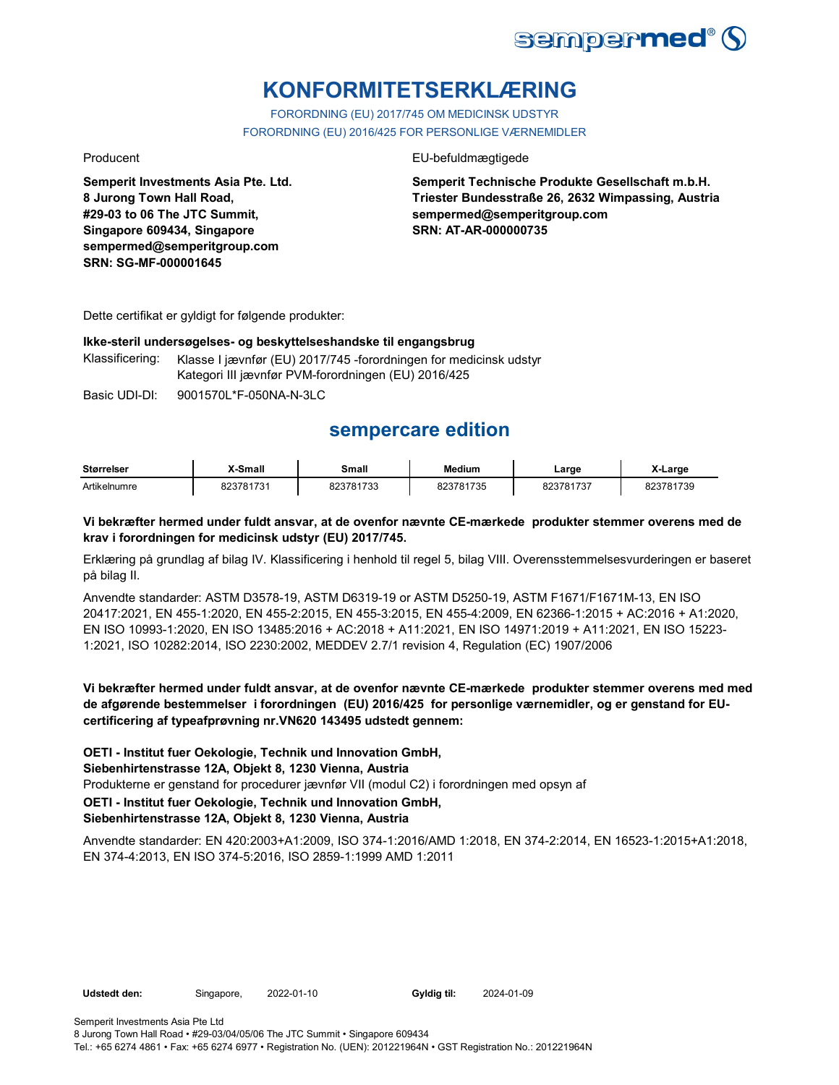

# **KONFORMITETSERKLÆRING**

FORORDNING (EU) 2017/745 OM MEDICINSK UDSTYR FORORDNING (EU) 2016/425 FOR PERSONLIGE VÆRNEMIDLER

**Semperit Investments Asia Pte. Ltd. 8 Jurong Town Hall Road, #29-03 to 06 The JTC Summit, Singapore 609434, Singapore sempermed@semperitgroup.com SRN: SG-MF-000001645**

## Producent **EU-befuldmægtigede**

**Semperit Technische Produkte Gesellschaft m.b.H. Triester Bundesstraße 26, 2632 Wimpassing, Austria sempermed@semperitgroup.com SRN: AT-AR-000000735**

Dette certifikat er gyldigt for følgende produkter:

### **Ikke-steril undersøgelses- og beskyttelseshandske til engangsbrug**

Klassificering: Klasse I jævnfør (EU) 2017/745 -forordningen for medicinsk udstyr Kategori III jævnfør PVM-forordningen (EU) 2016/425

Basic UDI-DI: 9001570L\*F-050NA-N-3LC 9001570L\*F-050NA-N-3L

## **sempercare edition**

| <b>Størrelser</b> | X-Small   | Small     | <b>Medium</b> | Large     | X-Large   |
|-------------------|-----------|-----------|---------------|-----------|-----------|
| Artikelnumre      | 823781731 | 823781733 | 823781735     | 823781737 | 823781739 |

## **Vi bekræfter hermed under fuldt ansvar, at de ovenfor nævnte CE-mærkede produkter stemmer overens med de krav i forordningen for medicinsk udstyr (EU) 2017/745.**

Erklæring på grundlag af bilag IV. Klassificering i henhold til regel 5, bilag VIII. Overensstemmelsesvurderingen er baseret på bilag II.

Anvendte standarder: ASTM D3578-19, ASTM D6319-19 or ASTM D5250-19, ASTM F1671/F1671M-13, EN ISO 20417:2021, EN 455-1:2020, EN 455-2:2015, EN 455-3:2015, EN 455-4:2009, EN 62366-1:2015 + AC:2016 + A1:2020, EN ISO 10993-1:2020, EN ISO 13485:2016 + AC:2018 + A11:2021, EN ISO 14971:2019 + A11:2021, EN ISO 15223- 1:2021, ISO 10282:2014, ISO 2230:2002, MEDDEV 2.7/1 revision 4, Regulation (EC) 1907/2006

**Vi bekræfter hermed under fuldt ansvar, at de ovenfor nævnte CE-mærkede produkter stemmer overens med med de afgørende bestemmelser i forordningen (EU) 2016/425 for personlige værnemidler, og er genstand for EUcertificering af typeafprøvning nr.VN620 143495 udstedt gennem:**

**OETI - Institut fuer Oekologie, Technik und Innovation GmbH,** 

**Siebenhirtenstrasse 12A, Objekt 8, 1230 Vienna, Austria**

Produkterne er genstand for procedurer jævnfør VII (modul C2) i forordningen med opsyn af

**OETI - Institut fuer Oekologie, Technik und Innovation GmbH,** 

## **Siebenhirtenstrasse 12A, Objekt 8, 1230 Vienna, Austria**

Anvendte standarder: EN 420:2003+A1:2009, ISO 374-1:2016/AMD 1:2018, EN 374-2:2014, EN 16523-1:2015+A1:2018, EN 374-4:2013, EN ISO 374-5:2016, ISO 2859-1:1999 AMD 1:2011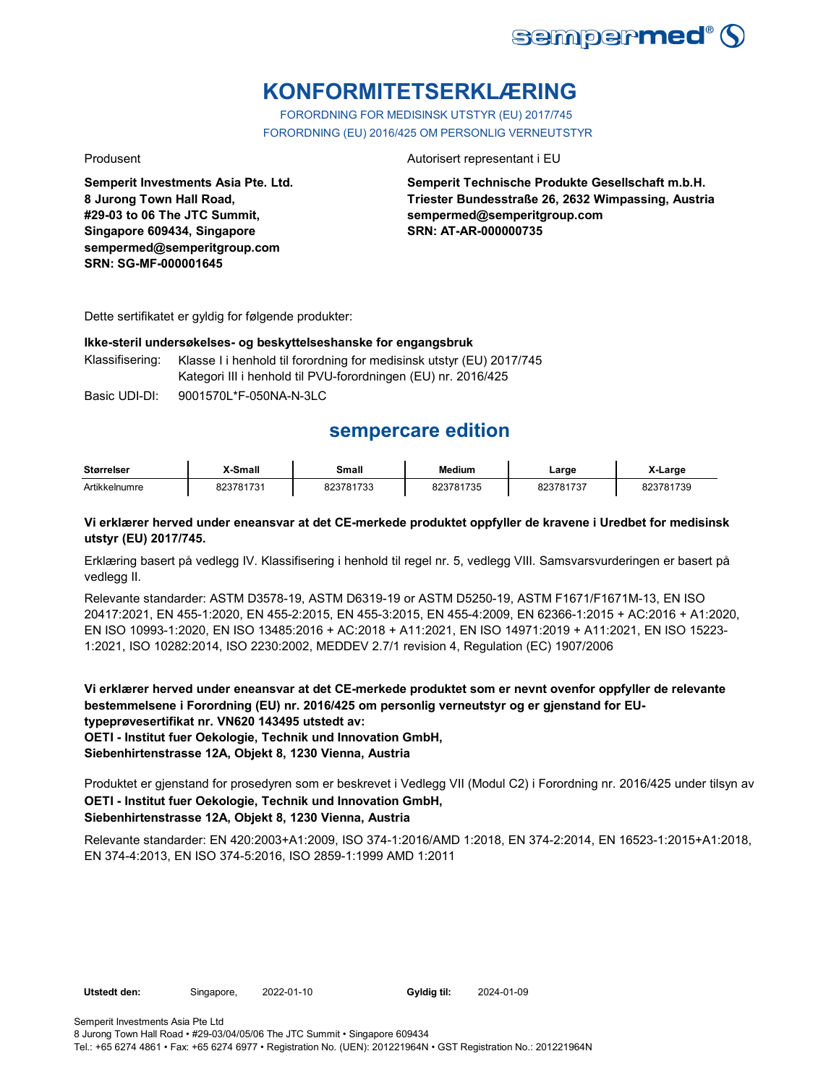

# **KONFORMITETSERKLÆRING**

FORORDNING FOR MEDISINSK UTSTYR (EU) 2017/745 FORORDNING (EU) 2016/425 OM PERSONLIG VERNEUTSTYR

**Semperit Investments Asia Pte. Ltd. 8 Jurong Town Hall Road, #29-03 to 06 The JTC Summit, Singapore 609434, Singapore sempermed@semperitgroup.com SRN: SG-MF-000001645**

### Produsent **Autorisert representant i EU**

**Semperit Technische Produkte Gesellschaft m.b.H. Triester Bundesstraße 26, 2632 Wimpassing, Austria sempermed@semperitgroup.com SRN: AT-AR-000000735**

Dette sertifikatet er gyldig for følgende produkter:

### **Ikke-steril undersøkelses- og beskyttelseshanske for engangsbruk**

Klassifisering: Klasse I i henhold til forordning for medisinsk utstyr (EU) 2017/745 Kategori III i henhold til PVU-forordningen (EU) nr. 2016/425

Basic UDI-DI: 9001570L\*F-050NA-N-3LC 9001570L\*F-050NA-N-3L

## **sempercare edition**

| <b>Størrelser</b> | X-Small   | Small     | <b>Medium</b> | Large     | X-Large   |
|-------------------|-----------|-----------|---------------|-----------|-----------|
| Artikkelnumre     | 823781731 | 823781733 | 823781735     | 823781737 | 823781739 |

## **Vi erklærer herved under eneansvar at det CE-merkede produktet oppfyller de kravene i Uredbet for medisinsk utstyr (EU) 2017/745.**

Erklæring basert på vedlegg IV. Klassifisering i henhold til regel nr. 5, vedlegg VIII. Samsvarsvurderingen er basert på vedlegg II.

Relevante standarder: ASTM D3578-19, ASTM D6319-19 or ASTM D5250-19, ASTM F1671/F1671M-13, EN ISO 20417:2021, EN 455-1:2020, EN 455-2:2015, EN 455-3:2015, EN 455-4:2009, EN 62366-1:2015 + AC:2016 + A1:2020, EN ISO 10993-1:2020, EN ISO 13485:2016 + AC:2018 + A11:2021, EN ISO 14971:2019 + A11:2021, EN ISO 15223- 1:2021, ISO 10282:2014, ISO 2230:2002, MEDDEV 2.7/1 revision 4, Regulation (EC) 1907/2006

**Vi erklærer herved under eneansvar at det CE-merkede produktet som er nevnt ovenfor oppfyller de relevante bestemmelsene i Forordning (EU) nr. 2016/425 om personlig verneutstyr og er gjenstand for EUtypeprøvesertifikat nr. VN620 143495 utstedt av:**

**OETI - Institut fuer Oekologie, Technik und Innovation GmbH,** 

**Siebenhirtenstrasse 12A, Objekt 8, 1230 Vienna, Austria**

**OETI - Institut fuer Oekologie, Technik und Innovation GmbH, Siebenhirtenstrasse 12A, Objekt 8, 1230 Vienna, Austria** Produktet er gjenstand for prosedyren som er beskrevet i Vedlegg VII (Modul C2) i Forordning nr. 2016/425 under tilsyn av

Relevante standarder: EN 420:2003+A1:2009, ISO 374-1:2016/AMD 1:2018, EN 374-2:2014, EN 16523-1:2015+A1:2018, EN 374-4:2013, EN ISO 374-5:2016, ISO 2859-1:1999 AMD 1:2011

**Utstedt den:** Singapore, 2022-01-10 **Gyldig til:** 2024-01-09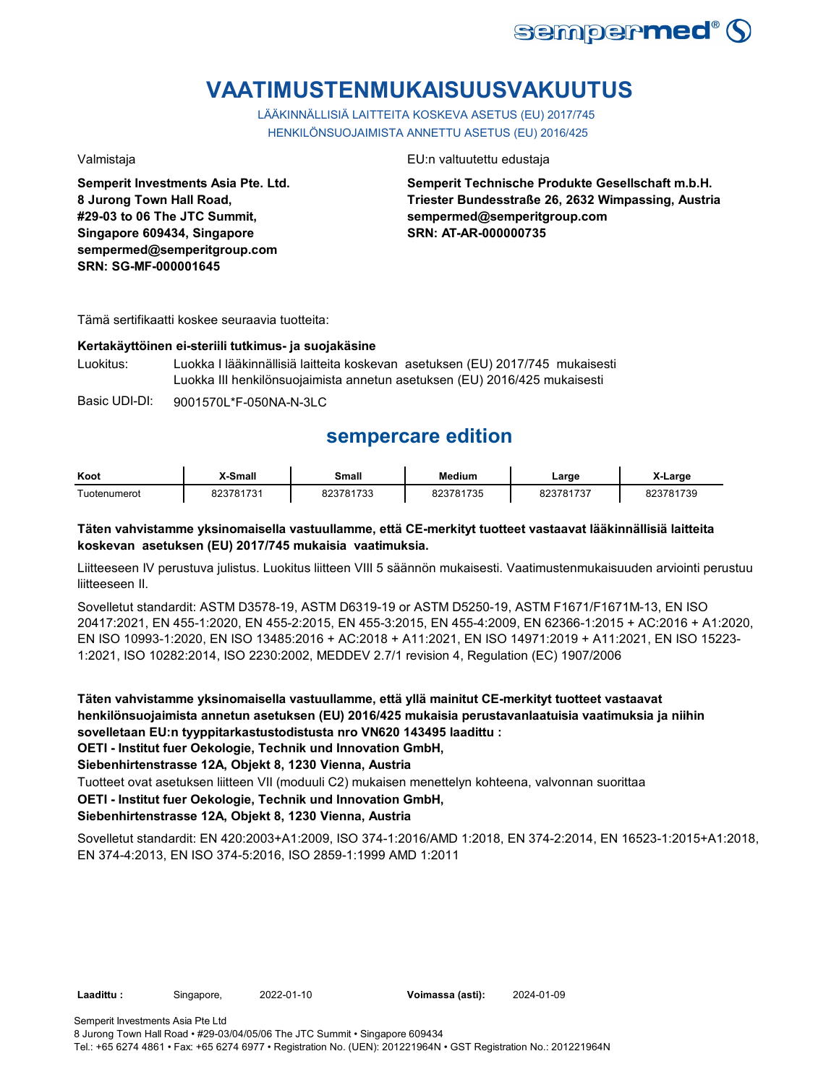

# **VAATIMUSTENMUKAISUUSVAKUUTUS**

LÄÄKINNÄLLISIÄ LAITTEITA KOSKEVA ASETUS (EU) 2017/745 HENKILÖNSUOJAIMISTA ANNETTU ASETUS (EU) 2016/425

**Semperit Investments Asia Pte. Ltd. 8 Jurong Town Hall Road, #29-03 to 06 The JTC Summit, Singapore 609434, Singapore sempermed@semperitgroup.com SRN: SG-MF-000001645**

Valmistaja EU:n valtuutettu edustaja

**Semperit Technische Produkte Gesellschaft m.b.H. Triester Bundesstraße 26, 2632 Wimpassing, Austria sempermed@semperitgroup.com SRN: AT-AR-000000735**

Tämä sertifikaatti koskee seuraavia tuotteita:

## **Kertakäyttöinen ei-steriili tutkimus- ja suojakäsine**

Luokitus: Luokka I lääkinnällisiä laitteita koskevan asetuksen (EU) 2017/745 mukaisesti Luokka III henkilönsuojaimista annetun asetuksen (EU) 2016/425 mukaisesti

Basic UDI-DI: 9001570L\*F-050NA-N-3LC

## **sempercare edition**

| Koot         | X-Small              | <b>Small</b>     | Medium                  | ∟arge | _arge  |
|--------------|----------------------|------------------|-------------------------|-------|--------|
| Tuotenumerot | 170.<br>ּ הס<br>70 ^ | 200704799<br>753 | $\overline{\mathbf{u}}$ | 4707  | 781739 |

## **Täten vahvistamme yksinomaisella vastuullamme, että CE-merkityt tuotteet vastaavat lääkinnällisiä laitteita koskevan asetuksen (EU) 2017/745 mukaisia vaatimuksia.**

Liitteeseen IV perustuva julistus. Luokitus liitteen VIII 5 säännön mukaisesti. Vaatimustenmukaisuuden arviointi perustuu liitteeseen II.

Sovelletut standardit: ASTM D3578-19, ASTM D6319-19 or ASTM D5250-19, ASTM F1671/F1671M-13, EN ISO 20417:2021, EN 455-1:2020, EN 455-2:2015, EN 455-3:2015, EN 455-4:2009, EN 62366-1:2015 + AC:2016 + A1:2020, EN ISO 10993-1:2020, EN ISO 13485:2016 + AC:2018 + A11:2021, EN ISO 14971:2019 + A11:2021, EN ISO 15223- 1:2021, ISO 10282:2014, ISO 2230:2002, MEDDEV 2.7/1 revision 4, Regulation (EC) 1907/2006

**Täten vahvistamme yksinomaisella vastuullamme, että yllä mainitut CE-merkityt tuotteet vastaavat henkilönsuojaimista annetun asetuksen (EU) 2016/425 mukaisia perustavanlaatuisia vaatimuksia ja niihin sovelletaan EU:n tyyppitarkastustodistusta nro VN620 143495 laadittu :**

**OETI - Institut fuer Oekologie, Technik und Innovation GmbH,** 

**Siebenhirtenstrasse 12A, Objekt 8, 1230 Vienna, Austria**

Tuotteet ovat asetuksen liitteen VII (moduuli C2) mukaisen menettelyn kohteena, valvonnan suorittaa

**OETI - Institut fuer Oekologie, Technik und Innovation GmbH,** 

## **Siebenhirtenstrasse 12A, Objekt 8, 1230 Vienna, Austria**

Sovelletut standardit: EN 420:2003+A1:2009, ISO 374-1:2016/AMD 1:2018, EN 374-2:2014, EN 16523-1:2015+A1:2018, EN 374-4:2013, EN ISO 374-5:2016, ISO 2859-1:1999 AMD 1:2011

**Laadittu :** Singapore, 2022-01-10 **Voimassa (asti):** 2024-01-09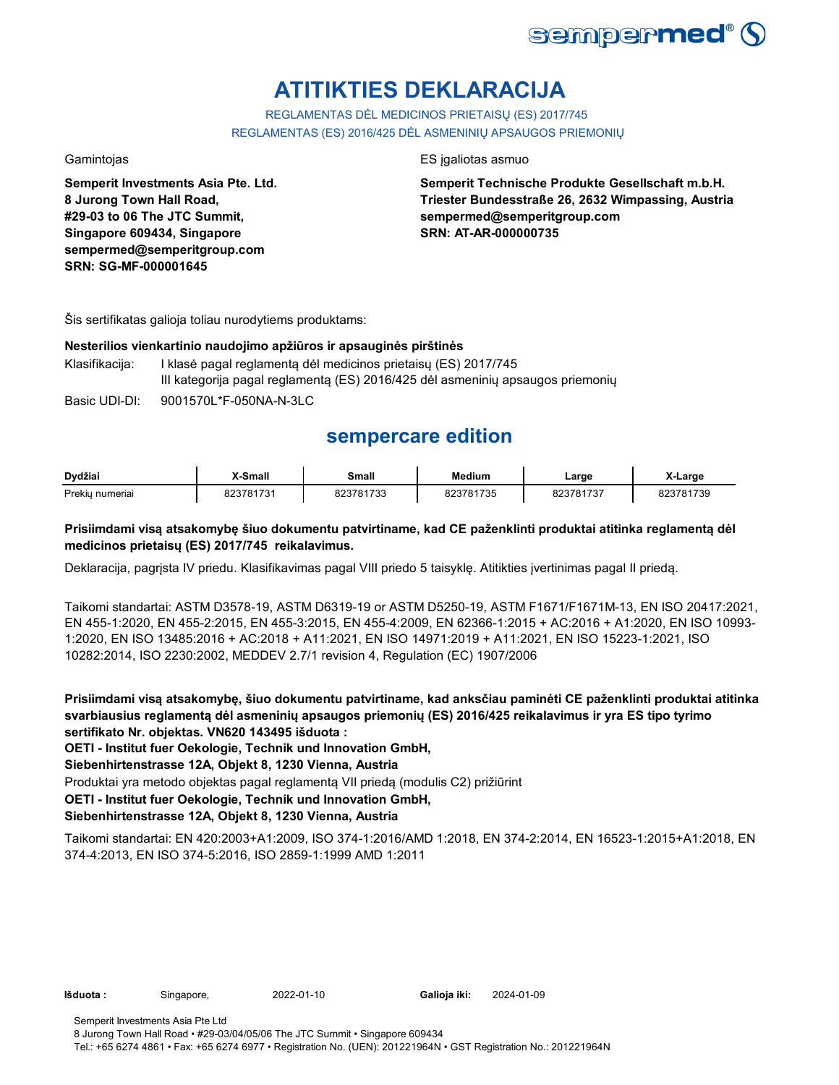

# **ATITIKTIES DEKLARACIJA**

REGLAMENTAS DĖL MEDICINOS PRIETAISŲ (ES) 2017/745 REGLAMENTAS (ES) 2016/425 DĖL ASMENINIŲ APSAUGOS PRIEMONIŲ

**Semperit Investments Asia Pte. Ltd. 8 Jurong Town Hall Road, #29-03 to 06 The JTC Summit, Singapore 609434, Singapore sempermed@semperitgroup.com SRN: SG-MF-000001645**

## Gamintojas **ES interviewes** ES ja aliotas asmuo

**Semperit Technische Produkte Gesellschaft m.b.H. Triester Bundesstraße 26, 2632 Wimpassing, Austria sempermed@semperitgroup.com SRN: AT-AR-000000735**

Šis sertifikatas galioja toliau nurodytiems produktams:

## **Nesterilios vienkartinio naudojimo apžiūros ir apsauginės pirštinės**

Klasifikacija: I klasė pagal reglamentą dėl medicinos prietaisų (ES) 2017/745 III kategorija pagal reglamentą (ES) 2016/425 dėl asmeninių apsaugos priemonių

Basic UDI-DI: 9001570L\*F-050NA-N-3LC

## **sempercare edition**

| Dvdžiai         | X-Small   | Small     | <b>Medium</b> | ∟arge     | -Large    |
|-----------------|-----------|-----------|---------------|-----------|-----------|
| Prekiu numeriai | 823781731 | 823781733 | 823781735     | 823781737 | 823781739 |

## **Prisiimdami visą atsakomybę šiuo dokumentu patvirtiname, kad CE paženklinti produktai atitinka reglamentą dėl medicinos prietaisų (ES) 2017/745 reikalavimus.**

Deklaracija, pagrįsta IV priedu. Klasifikavimas pagal VIII priedo 5 taisyklę. Atitikties įvertinimas pagal II priedą.

Taikomi standartai: ASTM D3578-19, ASTM D6319-19 or ASTM D5250-19, ASTM F1671/F1671M-13, EN ISO 20417:2021, EN 455-1:2020, EN 455-2:2015, EN 455-3:2015, EN 455-4:2009, EN 62366-1:2015 + AC:2016 + A1:2020, EN ISO 10993- 1:2020, EN ISO 13485:2016 + AC:2018 + A11:2021, EN ISO 14971:2019 + A11:2021, EN ISO 15223-1:2021, ISO 10282:2014, ISO 2230:2002, MEDDEV 2.7/1 revision 4, Regulation (EC) 1907/2006

**Prisiimdami visą atsakomybę, šiuo dokumentu patvirtiname, kad anksčiau paminėti CE paženklinti produktai atitinka svarbiausius reglamentą dėl asmeninių apsaugos priemonių (ES) 2016/425 reikalavimus ir yra ES tipo tyrimo sertifikato Nr. objektas. VN620 143495 išduota :**

**OETI - Institut fuer Oekologie, Technik und Innovation GmbH,** 

**Siebenhirtenstrasse 12A, Objekt 8, 1230 Vienna, Austria**

Produktai yra metodo objektas pagal reglamentą VII priedą (modulis C2) prižiūrint

**OETI - Institut fuer Oekologie, Technik und Innovation GmbH,** 

## **Siebenhirtenstrasse 12A, Objekt 8, 1230 Vienna, Austria**

Taikomi standartai: EN 420:2003+A1:2009, ISO 374-1:2016/AMD 1:2018, EN 374-2:2014, EN 16523-1:2015+A1:2018, EN 374-4:2013, EN ISO 374-5:2016, ISO 2859-1:1999 AMD 1:2011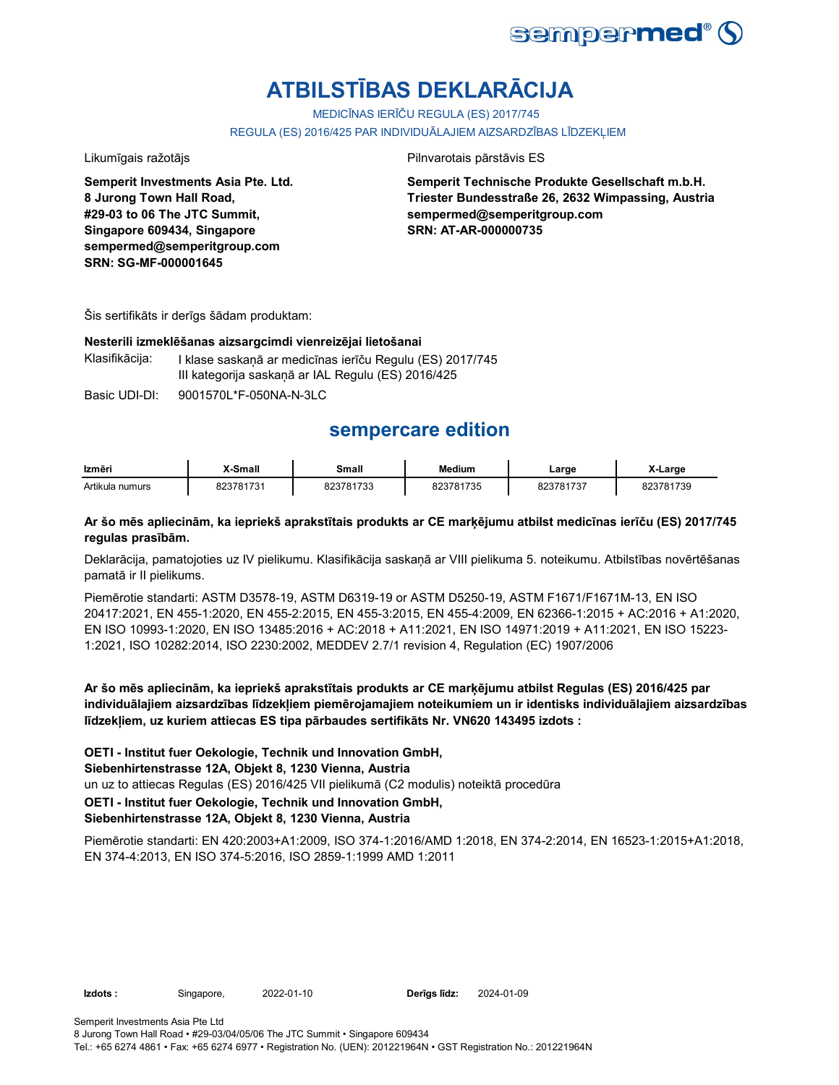

# **ATBILSTĪBAS DEKLARĀCIJA**

MEDICĪNAS IERĪČU REGULA (ES) 2017/745

REGULA (ES) 2016/425 PAR INDIVIDUĀLAJIEM AIZSARDZĪBAS LĪDZEKĻIEM

**Semperit Investments Asia Pte. Ltd. 8 Jurong Town Hall Road, #29-03 to 06 The JTC Summit, Singapore 609434, Singapore sempermed@semperitgroup.com SRN: SG-MF-000001645**

Likumīgais ražotājs **Pilnvarotais pārstāvis ES** 

**Semperit Technische Produkte Gesellschaft m.b.H. Triester Bundesstraße 26, 2632 Wimpassing, Austria sempermed@semperitgroup.com SRN: AT-AR-000000735**

Šis sertifikāts ir derīgs šādam produktam:

### **Nesterili izmeklēšanas aizsargcimdi vienreizējai lietošanai**

Klasifikācija: I klase saskaņā ar medicīnas ierīču Regulu (ES) 2017/745 III kategorija saskaņā ar IAL Regulu (ES) 2016/425

Basic UDI-DI: 9001570L\*F-050NA-N-3LC 9001570L\*F-050NA-N-3L

## **sempercare edition**

| Izmēri          | X-Small   | Small     | <b>Medium</b> | Large     | X-Large   |
|-----------------|-----------|-----------|---------------|-----------|-----------|
| Artikula numurs | 823781731 | 823781733 | 823781735     | 823781737 | 823781739 |

## **Ar šo mēs apliecinām, ka iepriekš aprakstītais produkts ar CE marķējumu atbilst medicīnas ierīču (ES) 2017/745 regulas prasībām.**

Deklarācija, pamatojoties uz IV pielikumu. Klasifikācija saskaņā ar VIII pielikuma 5. noteikumu. Atbilstības novērtēšanas pamatā ir II pielikums.

Piemērotie standarti: ASTM D3578-19, ASTM D6319-19 or ASTM D5250-19, ASTM F1671/F1671M-13, EN ISO 20417:2021, EN 455-1:2020, EN 455-2:2015, EN 455-3:2015, EN 455-4:2009, EN 62366-1:2015 + AC:2016 + A1:2020, EN ISO 10993-1:2020, EN ISO 13485:2016 + AC:2018 + A11:2021, EN ISO 14971:2019 + A11:2021, EN ISO 15223- 1:2021, ISO 10282:2014, ISO 2230:2002, MEDDEV 2.7/1 revision 4, Regulation (EC) 1907/2006

**Ar šo mēs apliecinām, ka iepriekš aprakstītais produkts ar CE marķējumu atbilst Regulas (ES) 2016/425 par individuālajiem aizsardzības līdzekļiem piemērojamajiem noteikumiem un ir identisks individuālajiem aizsardzības līdzekļiem, uz kuriem attiecas ES tipa pārbaudes sertifikāts Nr. VN620 143495 izdots :**

**OETI - Institut fuer Oekologie, Technik und Innovation GmbH,** 

**Siebenhirtenstrasse 12A, Objekt 8, 1230 Vienna, Austria**

un uz to attiecas Regulas (ES) 2016/425 VII pielikumā (C2 modulis) noteiktā procedūra

**OETI - Institut fuer Oekologie, Technik und Innovation GmbH,** 

## **Siebenhirtenstrasse 12A, Objekt 8, 1230 Vienna, Austria**

Piemērotie standarti: EN 420:2003+A1:2009, ISO 374-1:2016/AMD 1:2018, EN 374-2:2014, EN 16523-1:2015+A1:2018, EN 374-4:2013, EN ISO 374-5:2016, ISO 2859-1:1999 AMD 1:2011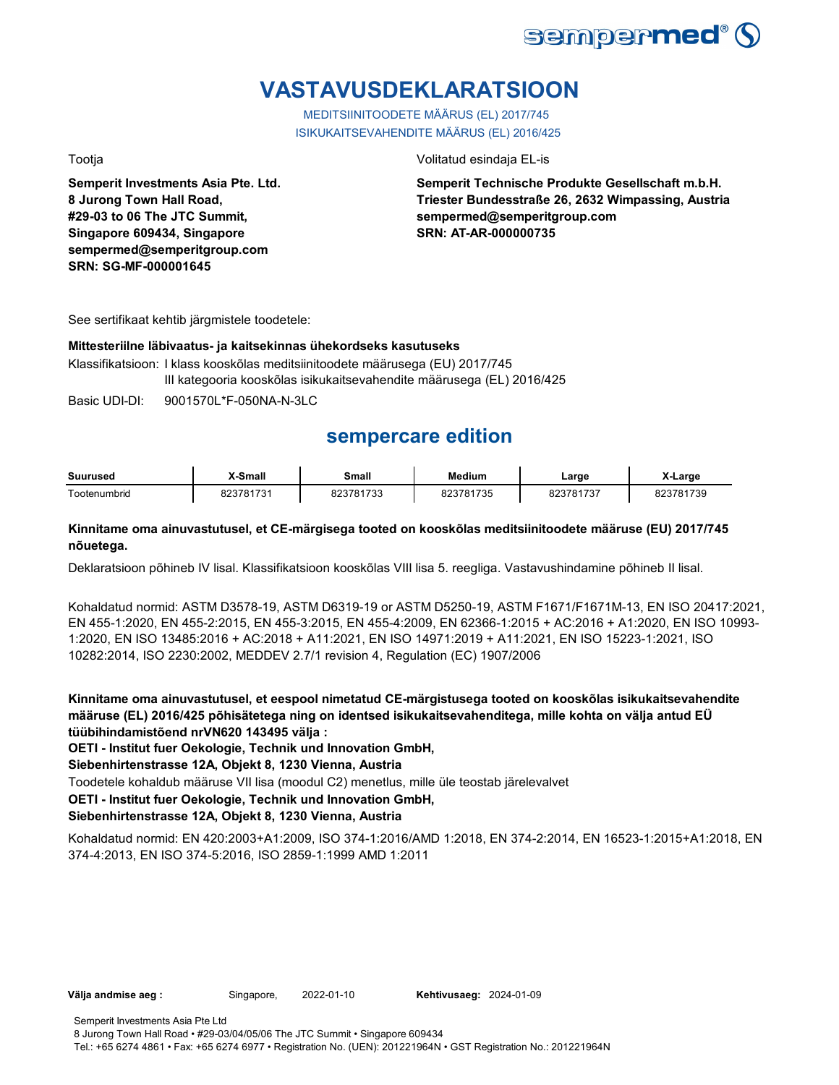

# **VASTAVUSDEKLARATSIOON**

MEDITSIINITOODETE MÄÄRUS (EL) 2017/745 ISIKUKAITSEVAHENDITE MÄÄRUS (EL) 2016/425

**Semperit Investments Asia Pte. Ltd. 8 Jurong Town Hall Road, #29-03 to 06 The JTC Summit, Singapore 609434, Singapore sempermed@semperitgroup.com SRN: SG-MF-000001645**

## Tootja Volitatud esindaja EL-is

**Semperit Technische Produkte Gesellschaft m.b.H. Triester Bundesstraße 26, 2632 Wimpassing, Austria sempermed@semperitgroup.com SRN: AT-AR-000000735**

See sertifikaat kehtib järgmistele toodetele:

## **Mittesteriilne läbivaatus- ja kaitsekinnas ühekordseks kasutuseks**

Klassifikatsioon: I klass kooskõlas meditsiinitoodete määrusega (EU) 2017/745 III kategooria kooskõlas isikukaitsevahendite määrusega (EL) 2016/425

Basic UDI-DI: 9001570L\*F-050NA-N-3LC 9001570L\*F-050NA-N-3L

## **sempercare edition**

| Suurused     | X-Small   | Small                     | Medium               | ∟arge                       | Large     |
|--------------|-----------|---------------------------|----------------------|-----------------------------|-----------|
| ⊺ootenumbrid | 823781731 | 000701722<br>81733<br>০∠০ | 823781735<br>82318 L | 002704<br>1707<br>023101131 | 823781739 |

## **Kinnitame oma ainuvastutusel, et CE-märgisega tooted on kooskõlas meditsiinitoodete määruse (EU) 2017/745 nõuetega.**

Deklaratsioon põhineb IV lisal. Klassifikatsioon kooskõlas VIII lisa 5. reegliga. Vastavushindamine põhineb II lisal.

Kohaldatud normid: ASTM D3578-19, ASTM D6319-19 or ASTM D5250-19, ASTM F1671/F1671M-13, EN ISO 20417:2021, EN 455-1:2020, EN 455-2:2015, EN 455-3:2015, EN 455-4:2009, EN 62366-1:2015 + AC:2016 + A1:2020, EN ISO 10993- 1:2020, EN ISO 13485:2016 + AC:2018 + A11:2021, EN ISO 14971:2019 + A11:2021, EN ISO 15223-1:2021, ISO 10282:2014, ISO 2230:2002, MEDDEV 2.7/1 revision 4, Regulation (EC) 1907/2006

**Kinnitame oma ainuvastutusel, et eespool nimetatud CE-märgistusega tooted on kooskõlas isikukaitsevahendite määruse (EL) 2016/425 põhisätetega ning on identsed isikukaitsevahenditega, mille kohta on välja antud EÜ tüübihindamistõend nrVN620 143495 välja :**

**OETI - Institut fuer Oekologie, Technik und Innovation GmbH,** 

**Siebenhirtenstrasse 12A, Objekt 8, 1230 Vienna, Austria**

Toodetele kohaldub määruse VII lisa (moodul C2) menetlus, mille üle teostab järelevalvet

**OETI - Institut fuer Oekologie, Technik und Innovation GmbH,** 

## **Siebenhirtenstrasse 12A, Objekt 8, 1230 Vienna, Austria**

Kohaldatud normid: EN 420:2003+A1:2009, ISO 374-1:2016/AMD 1:2018, EN 374-2:2014, EN 16523-1:2015+A1:2018, EN 374-4:2013, EN ISO 374-5:2016, ISO 2859-1:1999 AMD 1:2011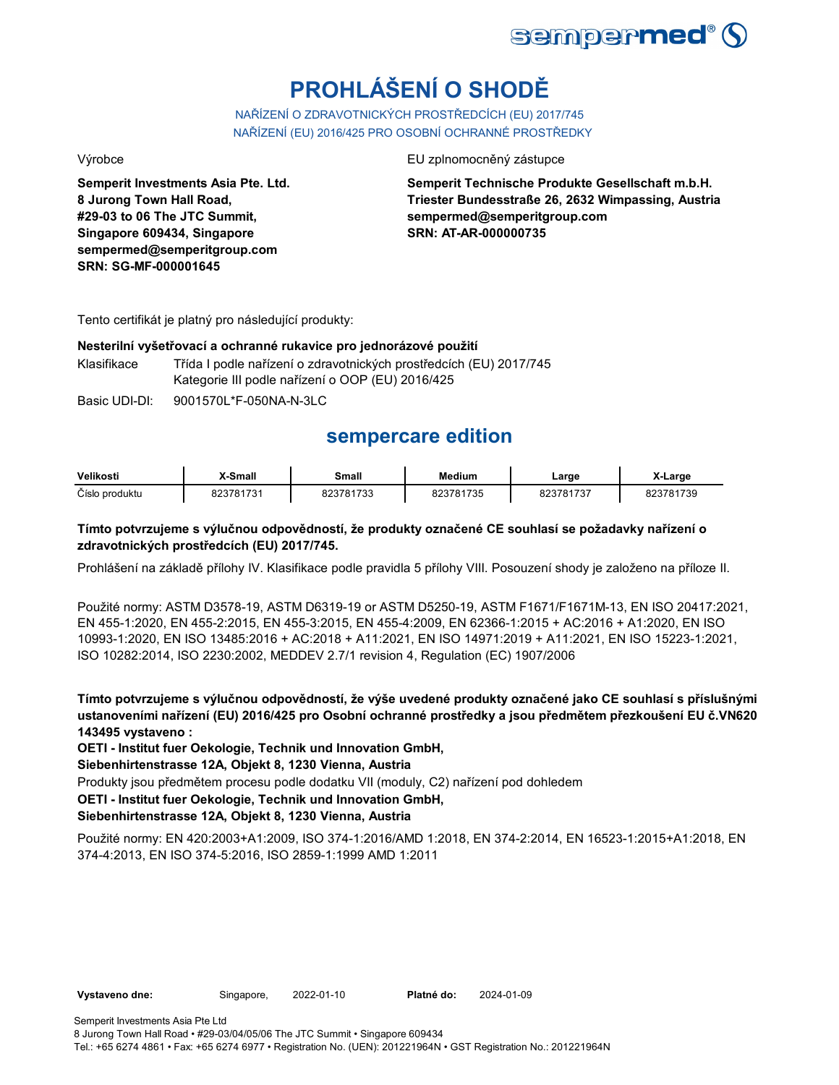

# **PROHLÁŠENÍ O SHODĚ**

NAŘÍZENÍ O ZDRAVOTNICKÝCH PROSTŘEDCÍCH (EU) 2017/745 NAŘÍZENÍ (EU) 2016/425 PRO OSOBNÍ OCHRANNÉ PROSTŘEDKY

**Semperit Investments Asia Pte. Ltd. 8 Jurong Town Hall Road, #29-03 to 06 The JTC Summit, Singapore 609434, Singapore sempermed@semperitgroup.com SRN: SG-MF-000001645**

## Výrobce EU zplnomocněný zástupce EU zplnomocněný zástupce

**Semperit Technische Produkte Gesellschaft m.b.H. Triester Bundesstraße 26, 2632 Wimpassing, Austria sempermed@semperitgroup.com SRN: AT-AR-000000735**

Tento certifikát je platný pro následující produkty:

## **Nesterilní vyšetřovací a ochranné rukavice pro jednorázové použití**

Klasifikace Třída I podle nařízení o zdravotnických prostředcích (EU) 2017/745 Kategorie III podle nařízení o OOP (EU) 2016/425

Basic UDI-DI: 9001570L\*F-050NA-N-3LC

## **sempercare edition**

| Velikosti      | X-Small      | Small            | <b>Medium</b> | ∟arge | Larɑe     |
|----------------|--------------|------------------|---------------|-------|-----------|
| Číslo produktu | 781731<br>nn | 823781733<br>733 | 1735<br>ה∠פ   | 704   | 323781739 |

## **Tímto potvrzujeme s výlučnou odpovědností, že produkty označené CE souhlasí se požadavky nařízení o zdravotnických prostředcích (EU) 2017/745.**

Prohlášení na základě přílohy IV. Klasifikace podle pravidla 5 přílohy VIII. Posouzení shody je založeno na příloze II.

Použité normy: ASTM D3578-19, ASTM D6319-19 or ASTM D5250-19, ASTM F1671/F1671M-13, EN ISO 20417:2021, EN 455-1:2020, EN 455-2:2015, EN 455-3:2015, EN 455-4:2009, EN 62366-1:2015 + AC:2016 + A1:2020, EN ISO 10993-1:2020, EN ISO 13485:2016 + AC:2018 + A11:2021, EN ISO 14971:2019 + A11:2021, EN ISO 15223-1:2021, ISO 10282:2014, ISO 2230:2002, MEDDEV 2.7/1 revision 4, Regulation (EC) 1907/2006

**Tímto potvrzujeme s výlučnou odpovědností, že výše uvedené produkty označené jako CE souhlasí s příslušnými ustanoveními nařízení (EU) 2016/425 pro Osobní ochranné prostředky a jsou předmětem přezkoušení EU č.VN620 143495 vystaveno :**

**OETI - Institut fuer Oekologie, Technik und Innovation GmbH,** 

**Siebenhirtenstrasse 12A, Objekt 8, 1230 Vienna, Austria**

Produkty jsou předmětem procesu podle dodatku VII (moduly, C2) nařízení pod dohledem

**OETI - Institut fuer Oekologie, Technik und Innovation GmbH,** 

## **Siebenhirtenstrasse 12A, Objekt 8, 1230 Vienna, Austria**

Použité normy: EN 420:2003+A1:2009, ISO 374-1:2016/AMD 1:2018, EN 374-2:2014, EN 16523-1:2015+A1:2018, EN 374-4:2013, EN ISO 374-5:2016, ISO 2859-1:1999 AMD 1:2011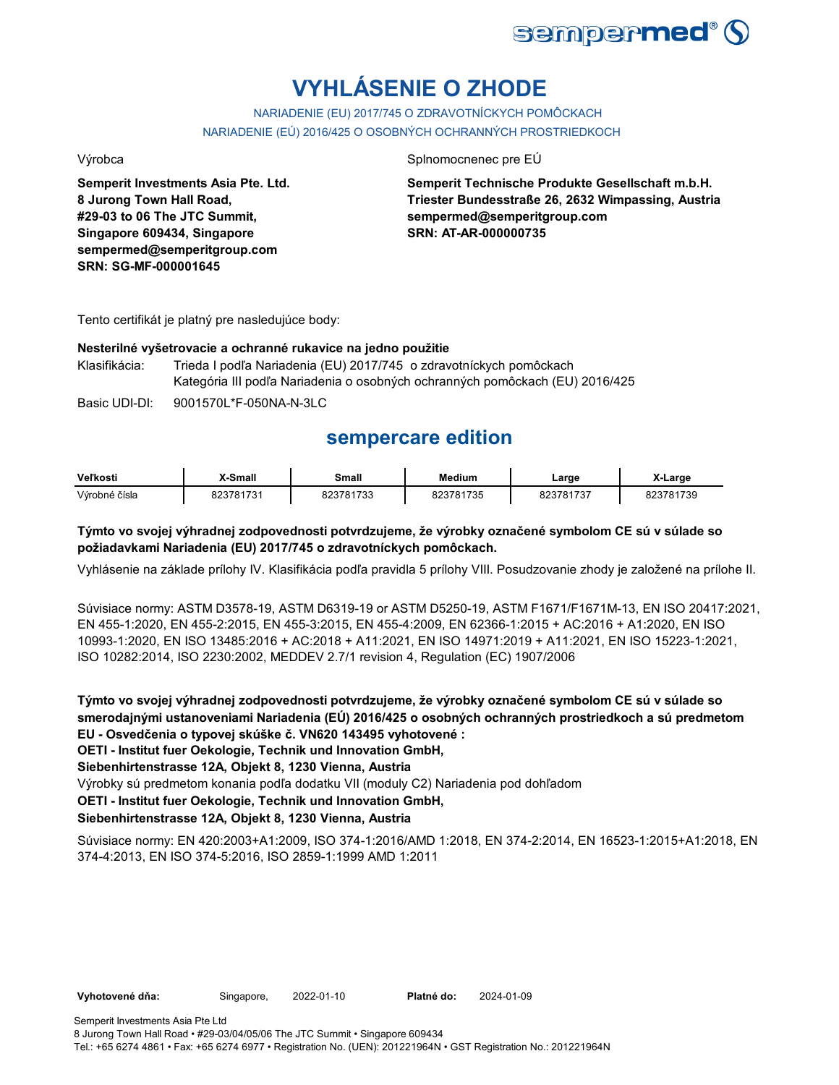

# **VYHLÁSENIE O ZHODE**

NARIADENIE (EU) 2017/745 O ZDRAVOTNÍCKYCH POMÔCKACH NARIADENIE (EÚ) 2016/425 O OSOBNÝCH OCHRANNÝCH PROSTRIEDKOCH

**Semperit Investments Asia Pte. Ltd. 8 Jurong Town Hall Road, #29-03 to 06 The JTC Summit, Singapore 609434, Singapore sempermed@semperitgroup.com SRN: SG-MF-000001645**

## Výrobca Splnomocnenec pre EÚ

**Semperit Technische Produkte Gesellschaft m.b.H. Triester Bundesstraße 26, 2632 Wimpassing, Austria sempermed@semperitgroup.com SRN: AT-AR-000000735**

Tento certifikát je platný pre nasledujúce body:

## **Nesterilné vyšetrovacie a ochranné rukavice na jedno použitie**

Klasifikácia: Trieda I podľa Nariadenia (EU) 2017/745 o zdravotníckych pomôckach Kategória III podľa Nariadenia o osobných ochranných pomôckach (EU) 2016/425

Basic UDI-DI: 9001570L\*F-050NA-N-3LC 9001570L\*F-050NA-N-3L

## **sempercare edition**

| Veľkosti      | X-Small   | Small                   | Medium    | ∟arge          | X-Large   |
|---------------|-----------|-------------------------|-----------|----------------|-----------|
| Výrobné čísla | 823781731 | 100701700<br>32J<br>ຳມພ | 823781735 | 000701707<br>. | 1739<br>~ |

## **Týmto vo svojej výhradnej zodpovednosti potvrdzujeme, že výrobky označené symbolom CE sú v súlade so požiadavkami Nariadenia (EU) 2017/745 o zdravotníckych pomôckach.**

Vyhlásenie na základe prílohy IV. Klasifikácia podľa pravidla 5 prílohy VIII. Posudzovanie zhody je založené na prílohe II.

Súvisiace normy: ASTM D3578-19, ASTM D6319-19 or ASTM D5250-19, ASTM F1671/F1671M-13, EN ISO 20417:2021, EN 455-1:2020, EN 455-2:2015, EN 455-3:2015, EN 455-4:2009, EN 62366-1:2015 + AC:2016 + A1:2020, EN ISO 10993-1:2020, EN ISO 13485:2016 + AC:2018 + A11:2021, EN ISO 14971:2019 + A11:2021, EN ISO 15223-1:2021, ISO 10282:2014, ISO 2230:2002, MEDDEV 2.7/1 revision 4, Regulation (EC) 1907/2006

**Týmto vo svojej výhradnej zodpovednosti potvrdzujeme, že výrobky označené symbolom CE sú v súlade so smerodajnými ustanoveniami Nariadenia (EÚ) 2016/425 o osobných ochranných prostriedkoch a sú predmetom EU - Osvedčenia o typovej skúške č. VN620 143495 vyhotovené :**

**OETI - Institut fuer Oekologie, Technik und Innovation GmbH,** 

**Siebenhirtenstrasse 12A, Objekt 8, 1230 Vienna, Austria**

Výrobky sú predmetom konania podľa dodatku VII (moduly C2) Nariadenia pod dohľadom

**OETI - Institut fuer Oekologie, Technik und Innovation GmbH,** 

## **Siebenhirtenstrasse 12A, Objekt 8, 1230 Vienna, Austria**

Súvisiace normy: EN 420:2003+A1:2009, ISO 374-1:2016/AMD 1:2018, EN 374-2:2014, EN 16523-1:2015+A1:2018, EN 374-4:2013, EN ISO 374-5:2016, ISO 2859-1:1999 AMD 1:2011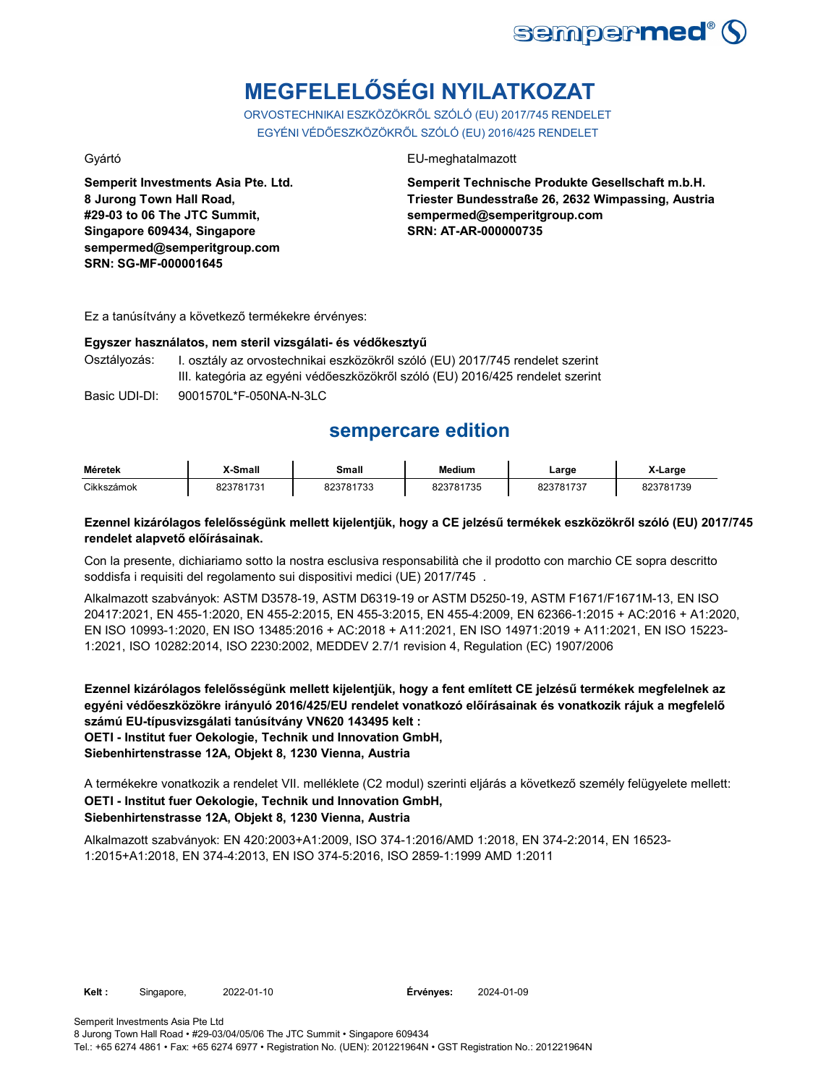

# **MEGFELELŐSÉGI NYILATKOZAT**

ORVOSTECHNIKAI ESZKÖZÖKRŐL SZÓLÓ (EU) 2017/745 RENDELET EGYÉNI VÉDŐESZKÖZÖKRŐL SZÓLÓ (EU) 2016/425 RENDELET

**Semperit Investments Asia Pte. Ltd. 8 Jurong Town Hall Road, #29-03 to 06 The JTC Summit, Singapore 609434, Singapore sempermed@semperitgroup.com SRN: SG-MF-000001645**

## Gyártó EU-meghatalmazott

**Semperit Technische Produkte Gesellschaft m.b.H. Triester Bundesstraße 26, 2632 Wimpassing, Austria sempermed@semperitgroup.com SRN: AT-AR-000000735**

Ez a tanúsítvány a következő termékekre érvényes:

**Egyszer használatos, nem steril vizsgálati- és védőkesztyű** I. osztály az orvostechnikai eszközökről szóló (EU) 2017/745 rendelet szerint III. kategória az egyéni védőeszközökről szóló (EU) 2016/425 rendelet szerint

Basic UDI-DI: 9001570L\*F-050NA-N-3LC 9001570L\*F-050NA-N-3L

## **sempercare edition**

| Méretek    | X-Small   | Small     | <b>Medium</b> | Large     | X-Large   |
|------------|-----------|-----------|---------------|-----------|-----------|
| Cikkszámok | 823781731 | 823781733 | 823781735     | 823781737 | 823781739 |

## **Ezennel kizárólagos felelősségünk mellett kijelentjük, hogy a CE jelzésű termékek eszközökről szóló (EU) 2017/745 rendelet alapvető előírásainak.**

Con la presente, dichiariamo sotto la nostra esclusiva responsabilità che il prodotto con marchio CE sopra descritto soddisfa i requisiti del regolamento sui dispositivi medici (UE) 2017/745 .

Alkalmazott szabványok: ASTM D3578-19, ASTM D6319-19 or ASTM D5250-19, ASTM F1671/F1671M-13, EN ISO 20417:2021, EN 455-1:2020, EN 455-2:2015, EN 455-3:2015, EN 455-4:2009, EN 62366-1:2015 + AC:2016 + A1:2020, EN ISO 10993-1:2020, EN ISO 13485:2016 + AC:2018 + A11:2021, EN ISO 14971:2019 + A11:2021, EN ISO 15223- 1:2021, ISO 10282:2014, ISO 2230:2002, MEDDEV 2.7/1 revision 4, Regulation (EC) 1907/2006

**Ezennel kizárólagos felelősségünk mellett kijelentjük, hogy a fent említett CE jelzésű termékek megfelelnek az egyéni védőeszközökre irányuló 2016/425/EU rendelet vonatkozó előírásainak és vonatkozik rájuk a megfelelő számú EU-típusvizsgálati tanúsítvány VN620 143495 kelt : OETI - Institut fuer Oekologie, Technik und Innovation GmbH, Siebenhirtenstrasse 12A, Objekt 8, 1230 Vienna, Austria**

**OETI - Institut fuer Oekologie, Technik und Innovation GmbH, Siebenhirtenstrasse 12A, Objekt 8, 1230 Vienna, Austria** A termékekre vonatkozik a rendelet VII. melléklete (C2 modul) szerinti eljárás a következő személy felügyelete mellett:

Alkalmazott szabványok: EN 420:2003+A1:2009, ISO 374-1:2016/AMD 1:2018, EN 374-2:2014, EN 16523- 1:2015+A1:2018, EN 374-4:2013, EN ISO 374-5:2016, ISO 2859-1:1999 AMD 1:2011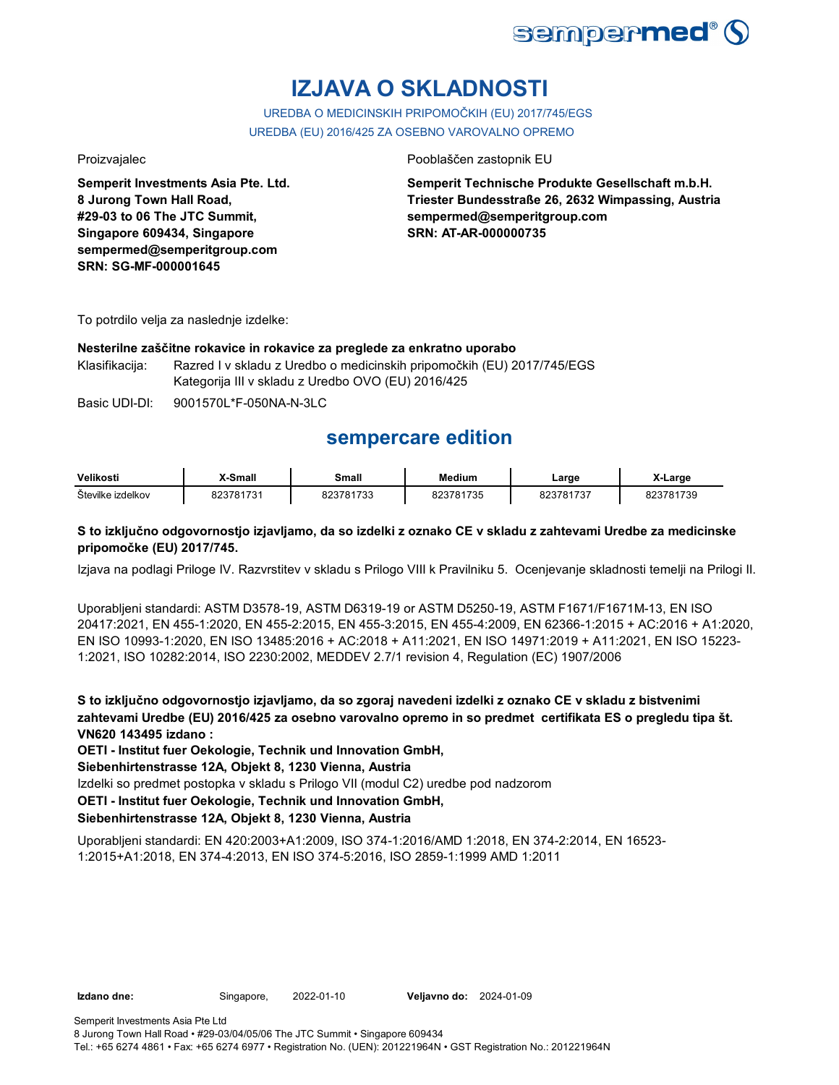

# **IZJAVA O SKLADNOSTI**

UREDBA O MEDICINSKIH PRIPOMOČKIH (EU) 2017/745/EGS UREDBA (EU) 2016/425 ZA OSEBNO VAROVALNO OPREMO

**Semperit Investments Asia Pte. Ltd. 8 Jurong Town Hall Road, #29-03 to 06 The JTC Summit, Singapore 609434, Singapore sempermed@semperitgroup.com SRN: SG-MF-000001645**

## Proizvajalec Pooblaščen zastopnik EU

**Semperit Technische Produkte Gesellschaft m.b.H. Triester Bundesstraße 26, 2632 Wimpassing, Austria sempermed@semperitgroup.com SRN: AT-AR-000000735**

To potrdilo velja za naslednje izdelke:

## **Nesterilne zaščitne rokavice in rokavice za preglede za enkratno uporabo**

Klasifikacija: Razred I v skladu z Uredbo o medicinskih pripomočkih (EU) 2017/745/EGS Kategorija III v skladu z Uredbo OVO (EU) 2016/425

Basic UDI-DI: 9001570L\*F-050NA-N-3LC 9001570L\*F-050NA-N-3L

## **sempercare edition**

| Velikosti         | <sup>v</sup> -Small | Small | Medium   | ∟arge     | X-Large                 |
|-------------------|---------------------|-------|----------|-----------|-------------------------|
| Številke izdelkov | 000704704           | 1700  | 23781735 | 202704727 | <sup>1</sup> 739<br>n r |

## **S to izključno odgovornostjo izjavljamo, da so izdelki z oznako CE v skladu z zahtevami Uredbe za medicinske pripomočke (EU) 2017/745.**

Izjava na podlagi Priloge IV. Razvrstitev v skladu s Prilogo VIII k Pravilniku 5. Ocenjevanje skladnosti temelji na Prilogi II.

Uporabljeni standardi: ASTM D3578-19, ASTM D6319-19 or ASTM D5250-19, ASTM F1671/F1671M-13, EN ISO 20417:2021, EN 455-1:2020, EN 455-2:2015, EN 455-3:2015, EN 455-4:2009, EN 62366-1:2015 + AC:2016 + A1:2020, EN ISO 10993-1:2020, EN ISO 13485:2016 + AC:2018 + A11:2021, EN ISO 14971:2019 + A11:2021, EN ISO 15223- 1:2021, ISO 10282:2014, ISO 2230:2002, MEDDEV 2.7/1 revision 4, Regulation (EC) 1907/2006

**S to izključno odgovornostjo izjavljamo, da so zgoraj navedeni izdelki z oznako CE v skladu z bistvenimi zahtevami Uredbe (EU) 2016/425 za osebno varovalno opremo in so predmet certifikata ES o pregledu tipa št. VN620 143495 izdano :**

**OETI - Institut fuer Oekologie, Technik und Innovation GmbH,** 

**Siebenhirtenstrasse 12A, Objekt 8, 1230 Vienna, Austria**

Izdelki so predmet postopka v skladu s Prilogo VII (modul C2) uredbe pod nadzorom

**OETI - Institut fuer Oekologie, Technik und Innovation GmbH,** 

## **Siebenhirtenstrasse 12A, Objekt 8, 1230 Vienna, Austria**

Uporabljeni standardi: EN 420:2003+A1:2009, ISO 374-1:2016/AMD 1:2018, EN 374-2:2014, EN 16523- 1:2015+A1:2018, EN 374-4:2013, EN ISO 374-5:2016, ISO 2859-1:1999 AMD 1:2011

**Izdano dne:** Singapore, 2022-01-10 **Veljavno do:** 2024-01-09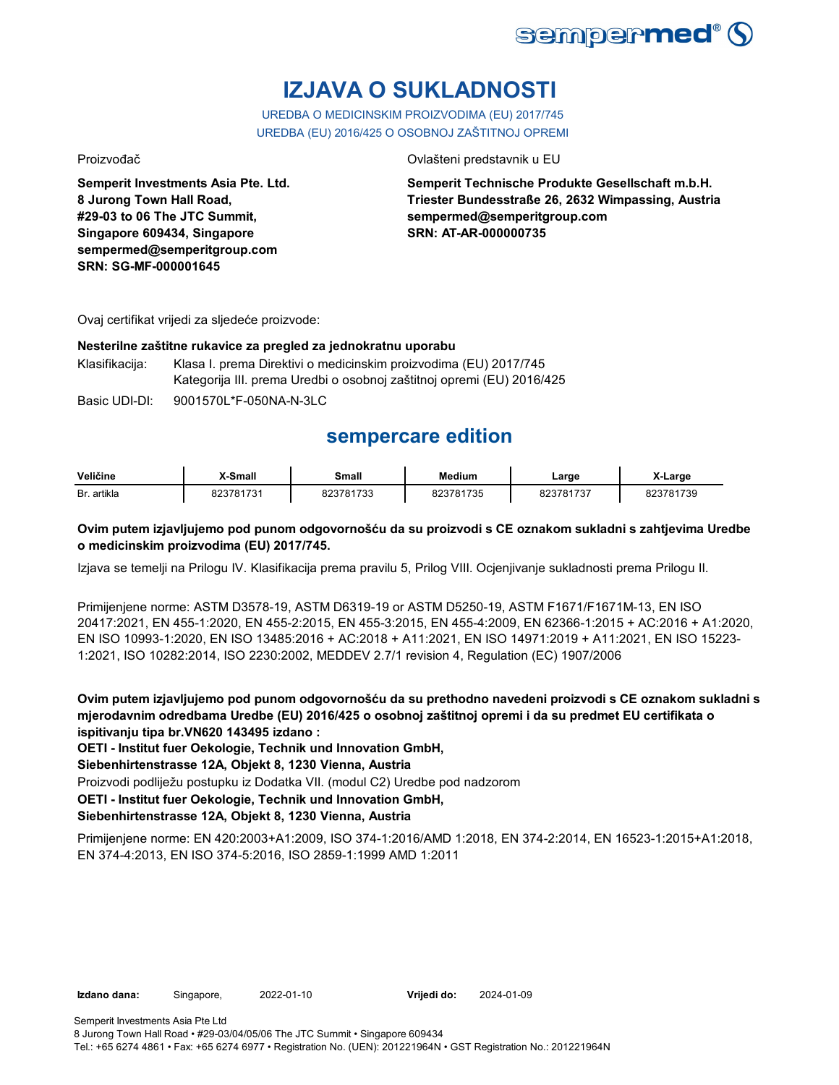

# **IZJAVA O SUKLADNOSTI**

UREDBA O MEDICINSKIM PROIZVODIMA (EU) 2017/745 UREDBA (EU) 2016/425 O OSOBNOJ ZAŠTITNOJ OPREMI

**Semperit Investments Asia Pte. Ltd. 8 Jurong Town Hall Road, #29-03 to 06 The JTC Summit, Singapore 609434, Singapore sempermed@semperitgroup.com SRN: SG-MF-000001645**

## Proizvođač Ovlašteni predstavnik u EU

**Semperit Technische Produkte Gesellschaft m.b.H. Triester Bundesstraße 26, 2632 Wimpassing, Austria sempermed@semperitgroup.com SRN: AT-AR-000000735**

Ovaj certifikat vrijedi za sljedeće proizvode:

## **Nesterilne zaštitne rukavice za pregled za jednokratnu uporabu**

Klasifikacija: Klasa I. prema Direktivi o medicinskim proizvodima (EU) 2017/745 Kategorija III. prema Uredbi o osobnoj zaštitnoj opremi (EU) 2016/425

Basic UDI-DI: 9001570L\*F-050NA-N-3LC 9001570L\*F-050NA-N-3L

## **sempercare edition**

| Veličine         | X-Small       | Small                | Medium                 | ∟arge        | X-Large    |
|------------------|---------------|----------------------|------------------------|--------------|------------|
| . artikla<br>Br. | 7701701<br>ְה | 1700<br>ו ז<br>ن د ل | 781735<br>. <i>. .</i> | 701707<br>73 | 1739<br>ъ. |

## **Ovim putem izjavljujemo pod punom odgovornošću da su proizvodi s CE oznakom sukladni s zahtjevima Uredbe o medicinskim proizvodima (EU) 2017/745.**

Izjava se temelji na Prilogu IV. Klasifikacija prema pravilu 5, Prilog VIII. Ocjenjivanje sukladnosti prema Prilogu II.

Primijenjene norme: ASTM D3578-19, ASTM D6319-19 or ASTM D5250-19, ASTM F1671/F1671M-13, EN ISO 20417:2021, EN 455-1:2020, EN 455-2:2015, EN 455-3:2015, EN 455-4:2009, EN 62366-1:2015 + AC:2016 + A1:2020, EN ISO 10993-1:2020, EN ISO 13485:2016 + AC:2018 + A11:2021, EN ISO 14971:2019 + A11:2021, EN ISO 15223- 1:2021, ISO 10282:2014, ISO 2230:2002, MEDDEV 2.7/1 revision 4, Regulation (EC) 1907/2006

**Ovim putem izjavljujemo pod punom odgovornošću da su prethodno navedeni proizvodi s CE oznakom sukladni s mjerodavnim odredbama Uredbe (EU) 2016/425 o osobnoj zaštitnoj opremi i da su predmet EU certifikata o ispitivanju tipa br.VN620 143495 izdano :**

**OETI - Institut fuer Oekologie, Technik und Innovation GmbH,** 

**Siebenhirtenstrasse 12A, Objekt 8, 1230 Vienna, Austria**

Proizvodi podliježu postupku iz Dodatka VII. (modul C2) Uredbe pod nadzorom

**OETI - Institut fuer Oekologie, Technik und Innovation GmbH,** 

## **Siebenhirtenstrasse 12A, Objekt 8, 1230 Vienna, Austria**

Primijenjene norme: EN 420:2003+A1:2009, ISO 374-1:2016/AMD 1:2018, EN 374-2:2014, EN 16523-1:2015+A1:2018, EN 374-4:2013, EN ISO 374-5:2016, ISO 2859-1:1999 AMD 1:2011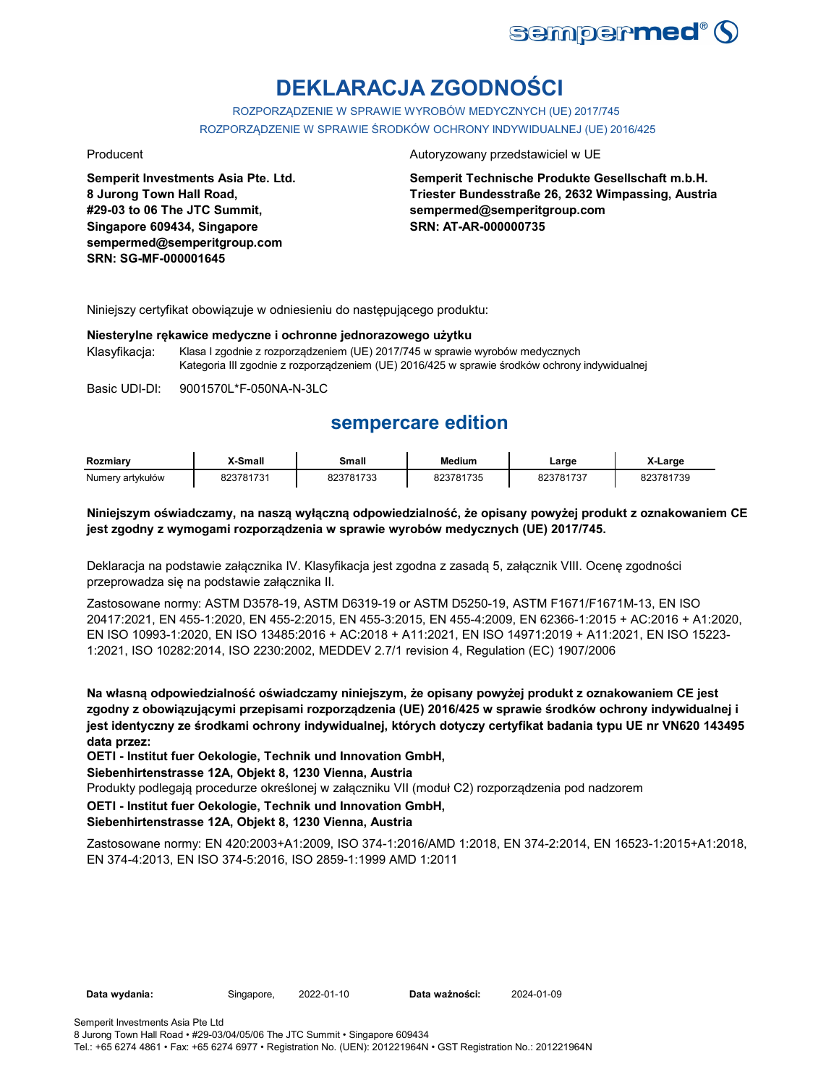

# **DEKLARACJA ZGODNOŚCI**

ROZPORZĄDZENIE W SPRAWIE WYROBÓW MEDYCZNYCH (UE) 2017/745 ROZPORZĄDZENIE W SPRAWIE ŚRODKÓW OCHRONY INDYWIDUALNEJ (UE) 2016/425

**Semperit Investments Asia Pte. Ltd. 8 Jurong Town Hall Road, #29-03 to 06 The JTC Summit, Singapore 609434, Singapore sempermed@semperitgroup.com SRN: SG-MF-000001645**

### Producent **Autoryzowany przedstawiciel w UE**

**Semperit Technische Produkte Gesellschaft m.b.H. Triester Bundesstraße 26, 2632 Wimpassing, Austria sempermed@semperitgroup.com SRN: AT-AR-000000735**

Niniejszy certyfikat obowiązuje w odniesieniu do następującego produktu:

### **Niesterylne rękawice medyczne i ochronne jednorazowego użytku**

Klasyfikacja: Klasa I zgodnie z rozporządzeniem (UE) 2017/745 w sprawie wyrobów medycznych Kategoria III zgodnie z rozporządzeniem (UE) 2016/425 w sprawie środków ochrony indywidualnej

Basic UDI-DI: 9001570L\*F-050NA-N-3LC 9001570L\*F-050NA-N-3L

## **sempercare edition**

| Rozmiarv         | X-Small   | Small     | <b>Medium</b> | ∟arge     | X-Large   |
|------------------|-----------|-----------|---------------|-----------|-----------|
| Numery artykułów | 823781731 | 823781733 | 823781735     | 823781737 | 823781739 |

## **Niniejszym oświadczamy, na naszą wyłączną odpowiedzialność, że opisany powyżej produkt z oznakowaniem CE jest zgodny z wymogami rozporządzenia w sprawie wyrobów medycznych (UE) 2017/745.**

Deklaracja na podstawie załącznika IV. Klasyfikacja jest zgodna z zasadą 5, załącznik VIII. Ocenę zgodności przeprowadza się na podstawie załącznika II.

Zastosowane normy: ASTM D3578-19, ASTM D6319-19 or ASTM D5250-19, ASTM F1671/F1671M-13, EN ISO 20417:2021, EN 455-1:2020, EN 455-2:2015, EN 455-3:2015, EN 455-4:2009, EN 62366-1:2015 + AC:2016 + A1:2020, EN ISO 10993-1:2020, EN ISO 13485:2016 + AC:2018 + A11:2021, EN ISO 14971:2019 + A11:2021, EN ISO 15223- 1:2021, ISO 10282:2014, ISO 2230:2002, MEDDEV 2.7/1 revision 4, Regulation (EC) 1907/2006

**Na własną odpowiedzialność oświadczamy niniejszym, że opisany powyżej produkt z oznakowaniem CE jest zgodny z obowiązującymi przepisami rozporządzenia (UE) 2016/425 w sprawie środków ochrony indywidualnej i jest identyczny ze środkami ochrony indywidualnej, których dotyczy certyfikat badania typu UE nr VN620 143495 data przez:**

**OETI - Institut fuer Oekologie, Technik und Innovation GmbH,** 

**Siebenhirtenstrasse 12A, Objekt 8, 1230 Vienna, Austria**

Produkty podlegają procedurze określonej w załączniku VII (moduł C2) rozporządzenia pod nadzorem

**OETI - Institut fuer Oekologie, Technik und Innovation GmbH,** 

### **Siebenhirtenstrasse 12A, Objekt 8, 1230 Vienna, Austria**

Zastosowane normy: EN 420:2003+A1:2009, ISO 374-1:2016/AMD 1:2018, EN 374-2:2014, EN 16523-1:2015+A1:2018, EN 374-4:2013, EN ISO 374-5:2016, ISO 2859-1:1999 AMD 1:2011

**Data wydania:** Singapore, 2022-01-10 **Data ważności:** 2024-01-09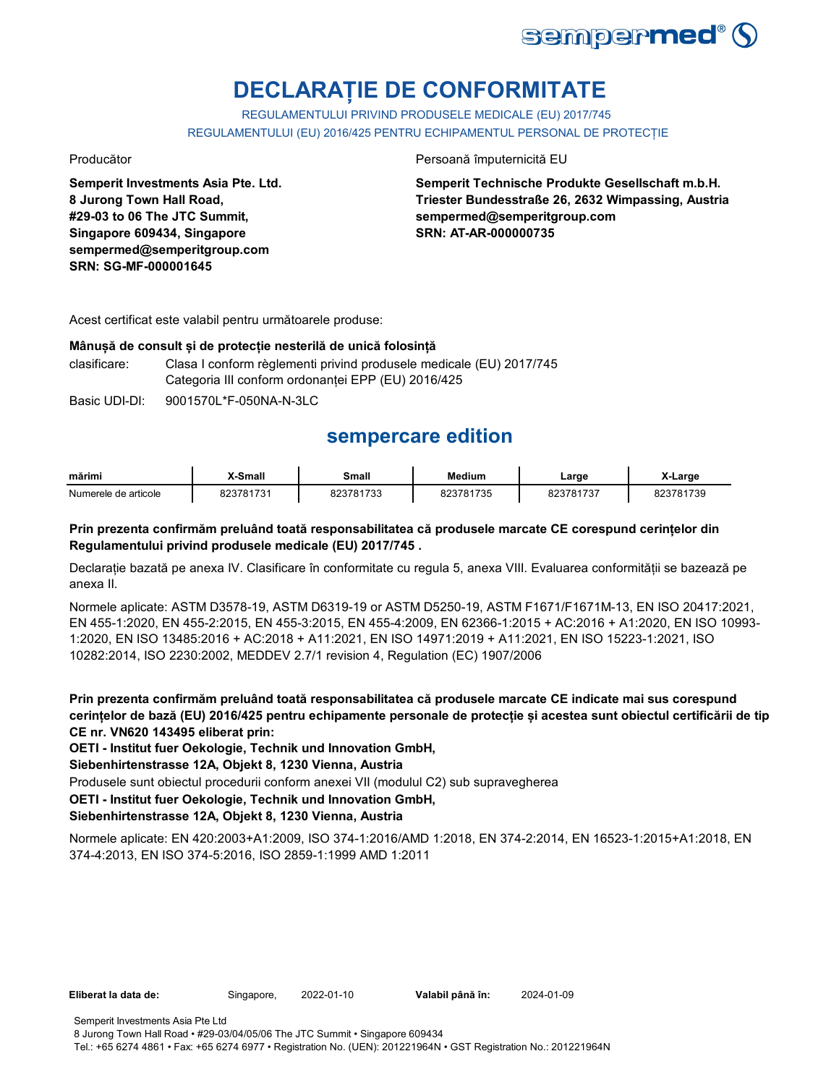

# **DECLARAȚIE DE CONFORMITATE**

REGULAMENTULUI PRIVIND PRODUSELE MEDICALE (EU) 2017/745 REGULAMENTULUI (EU) 2016/425 PENTRU ECHIPAMENTUL PERSONAL DE PROTECȚIE

**Semperit Investments Asia Pte. Ltd. 8 Jurong Town Hall Road, #29-03 to 06 The JTC Summit, Singapore 609434, Singapore sempermed@semperitgroup.com SRN: SG-MF-000001645**

## Producător Persoană împuternicită EU

**Semperit Technische Produkte Gesellschaft m.b.H. Triester Bundesstraße 26, 2632 Wimpassing, Austria sempermed@semperitgroup.com SRN: AT-AR-000000735**

Acest certificat este valabil pentru următoarele produse:

## **Mânușă de consult și de protecție nesterilă de unică folosință**

clasificare: Clasa I conform règlementi privind produsele medicale (EU) 2017/745 Categoria III conform ordonanței EPP (EU) 2016/425

Basic UDI-DI: 9001570L\*F-050NA-N-3LC

## **sempercare edition**

| mărimi               | X-Small   | Small     | <b>Medium</b> | ∟arge     | X-Large           |
|----------------------|-----------|-----------|---------------|-----------|-------------------|
| Numerele de articole | 323781731 | 823781733 | 823781735     | 823781737 | 323781739<br>.د∠د |

## **Prin prezenta confirmăm preluând toată responsabilitatea că produsele marcate CE corespund cerințelor din Regulamentului privind produsele medicale (EU) 2017/745 .**

Declarație bazată pe anexa IV. Clasificare în conformitate cu regula 5, anexa VIII. Evaluarea conformității se bazează pe anexa II.

Normele aplicate: ASTM D3578-19, ASTM D6319-19 or ASTM D5250-19, ASTM F1671/F1671M-13, EN ISO 20417:2021, EN 455-1:2020, EN 455-2:2015, EN 455-3:2015, EN 455-4:2009, EN 62366-1:2015 + AC:2016 + A1:2020, EN ISO 10993- 1:2020, EN ISO 13485:2016 + AC:2018 + A11:2021, EN ISO 14971:2019 + A11:2021, EN ISO 15223-1:2021, ISO 10282:2014, ISO 2230:2002, MEDDEV 2.7/1 revision 4, Regulation (EC) 1907/2006

**Prin prezenta confirmăm preluând toată responsabilitatea că produsele marcate CE indicate mai sus corespund cerințelor de bază (EU) 2016/425 pentru echipamente personale de protecție și acestea sunt obiectul certificării de tip CE nr. VN620 143495 eliberat prin:**

**OETI - Institut fuer Oekologie, Technik und Innovation GmbH,** 

**Siebenhirtenstrasse 12A, Objekt 8, 1230 Vienna, Austria**

Produsele sunt obiectul procedurii conform anexei VII (modulul C2) sub supravegherea

**OETI - Institut fuer Oekologie, Technik und Innovation GmbH,** 

## **Siebenhirtenstrasse 12A, Objekt 8, 1230 Vienna, Austria**

Normele aplicate: EN 420:2003+A1:2009, ISO 374-1:2016/AMD 1:2018, EN 374-2:2014, EN 16523-1:2015+A1:2018, EN 374-4:2013, EN ISO 374-5:2016, ISO 2859-1:1999 AMD 1:2011

**Eliberat la data de:** Singapore, 2022-01-10 **Valabil până în:** 2024-01-09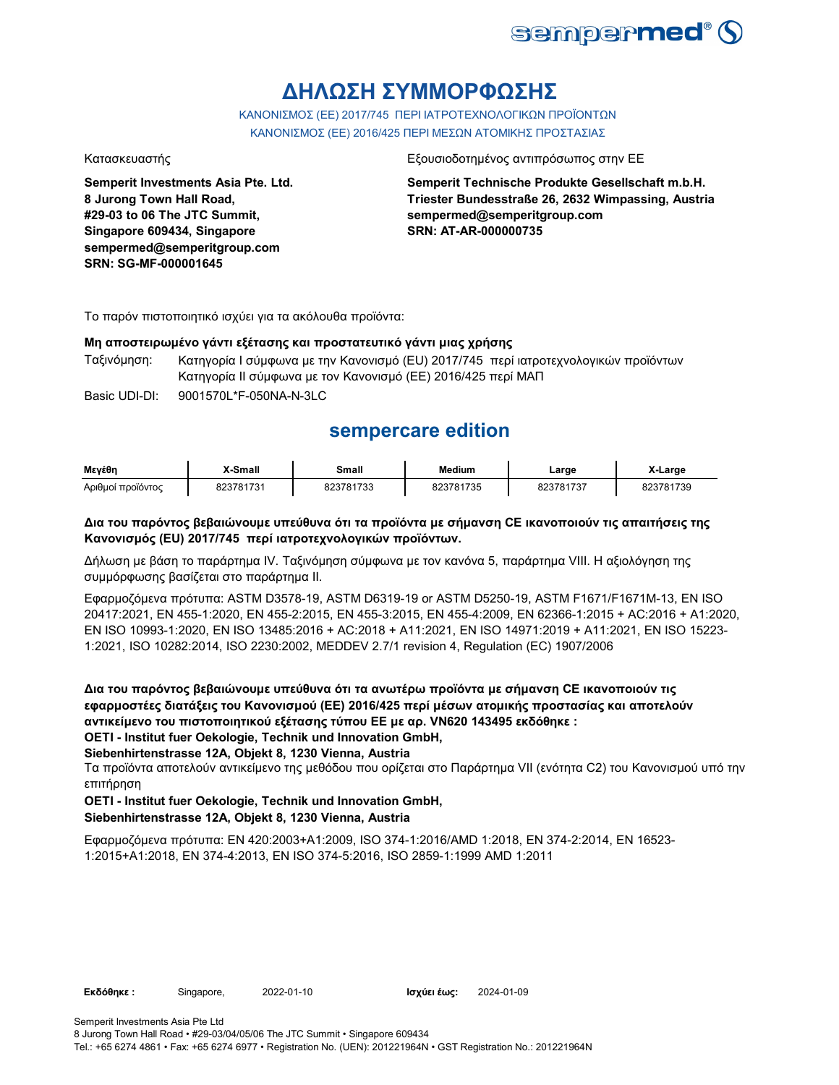

## **ΔΗΛΩΣΗ ΣΥΜΜΟΡΦΩΣΗΣ**

ΚΑΝΟΝΙΣΜΟΣ (EE) 2017/745 ΠΕΡΙ ΙΑΤΡΟΤΕΧΝΟΛΟΓΙΚΩΝ ΠΡΟΪΟΝΤΩΝ ΚΑΝΟΝΙΣΜΟΣ (ΕΕ) 2016/425 ΠΕΡΙ ΜΕΣΩΝ ΑΤΟΜΙΚΗΣ ΠΡΟΣΤΑΣΙΑΣ

**Semperit Investments Asia Pte. Ltd. 8 Jurong Town Hall Road, #29-03 to 06 The JTC Summit, Singapore 609434, Singapore sempermed@semperitgroup.com SRN: SG-MF-000001645**

### Κατασκευαστής Εξουσιοδοτημένος αντιπρόσωπος στην ΕΕ

**Semperit Technische Produkte Gesellschaft m.b.H. Triester Bundesstraße 26, 2632 Wimpassing, Austria sempermed@semperitgroup.com SRN: AT-AR-000000735**

Το παρόν πιστοποιητικό ισχύει για τα ακόλουθα προϊόντα:

## **Μη αποστειρωμένο γάντι εξέτασης και προστατευτικό γάντι μιας χρήσης**

Ταξινόμηση: Κατηγορία I σύμφωνα με την Κανονισμό (EU) 2017/745 περί ιατροτεχνολογικών προϊόντων Κατηγορία II σύμφωνα με τον Κανονισμό (ΕΕ) 2016/425 περί ΜΑΠ

Basic UDI-DI: 9001570L\*F-050NA-N-3LC 9001570L\*F-050NA-N-3L

## **sempercare edition**

| Μενέθη            | X-Small   | Small     | <b>Medium</b> | ∟arge     | X-Large   |
|-------------------|-----------|-----------|---------------|-----------|-----------|
| Αριθμοί προϊόντος | 823781731 | 823781733 | 823781735     | 823781737 | 823781739 |

## **Δια του παρόντος βεβαιώνουμε υπεύθυνα ότι τα προϊόντα με σήμανση CE ικανοποιούν τις απαιτήσεις της Κανονισμός (EU) 2017/745 περί ιατροτεχνολογικών προϊόντων.**

Δήλωση με βάση το παράρτημα IV. Ταξινόμηση σύμφωνα με τον κανόνα 5, παράρτημα VIII. Η αξιολόγηση της συμμόρφωσης βασίζεται στο παράρτημα II.

Εφαρμοζόμενα πρότυπα: ASTM D3578-19, ASTM D6319-19 or ASTM D5250-19, ASTM F1671/F1671M-13, EN ISO 20417:2021, EN 455-1:2020, EN 455-2:2015, EN 455-3:2015, EN 455-4:2009, EN 62366-1:2015 + AC:2016 + A1:2020, EN ISO 10993-1:2020, EN ISO 13485:2016 + AC:2018 + A11:2021, EN ISO 14971:2019 + A11:2021, EN ISO 15223- 1:2021, ISO 10282:2014, ISO 2230:2002, MEDDEV 2.7/1 revision 4, Regulation (EC) 1907/2006

**Δια του παρόντος βεβαιώνουμε υπεύθυνα ότι τα ανωτέρω προϊόντα με σήμανση CE ικανοποιούν τις εφαρμοστέες διατάξεις του Κανονισμού (ΕΕ) 2016/425 περί μέσων ατομικής προστασίας και αποτελούν αντικείμενο του πιστοποιητικού εξέτασης τύπου ΕΕ με αρ. VN620 143495 εκδόθηκε : OETI - Institut fuer Oekologie, Technik und Innovation GmbH,** 

## **Siebenhirtenstrasse 12A, Objekt 8, 1230 Vienna, Austria**

Τα προϊόντα αποτελούν αντικείμενο της μεθόδου που ορίζεται στο Παράρτημα VII (ενότητα C2) του Κανονισμού υπό την επιτήρηση

## **OETI - Institut fuer Oekologie, Technik und Innovation GmbH,**

## **Siebenhirtenstrasse 12A, Objekt 8, 1230 Vienna, Austria**

Εφαρμοζόμενα πρότυπα: EN 420:2003+A1:2009, ISO 374-1:2016/AMD 1:2018, EN 374-2:2014, EN 16523- 1:2015+A1:2018, EN 374-4:2013, EN ISO 374-5:2016, ISO 2859-1:1999 AMD 1:2011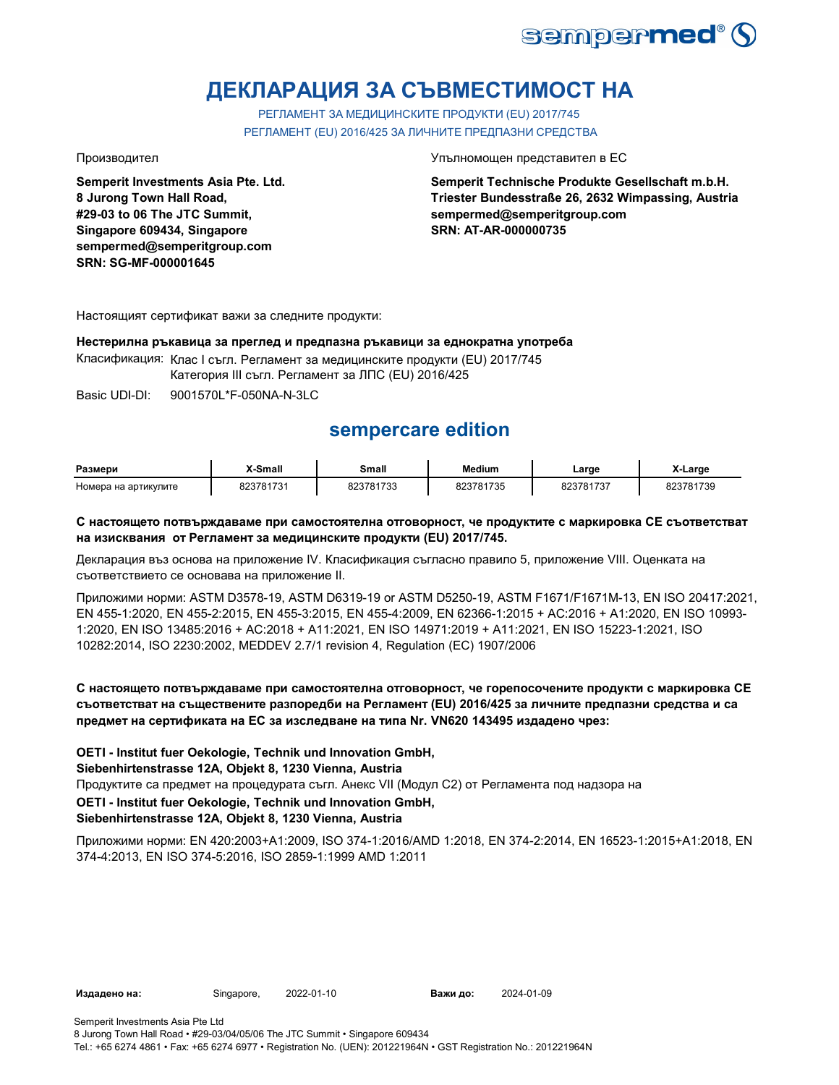

# **ДЕКЛАРАЦИЯ ЗА СЪВМЕСТИМОСТ НА**

РЕГЛАМЕНТ ЗА МЕДИЦИНСКИТЕ ПРОДУКТИ (EU) 2017/745 РЕГЛАМЕНТ (EU) 2016/425 ЗА ЛИЧНИТЕ ПРЕДПАЗНИ СРЕДСТВА

**Semperit Investments Asia Pte. Ltd. 8 Jurong Town Hall Road, #29-03 to 06 The JTC Summit, Singapore 609434, Singapore sempermed@semperitgroup.com SRN: SG-MF-000001645**

### Производител Упълномощен представител в ЕС

**Semperit Technische Produkte Gesellschaft m.b.H. Triester Bundesstraße 26, 2632 Wimpassing, Austria sempermed@semperitgroup.com SRN: AT-AR-000000735**

Настоящият сертификат важи за следните продукти:

## **Нестерилна ръкавица за преглед и предпазна ръкавици за еднократна употреба**

Класификация: Клас I съгл. Регламент за медицинските продукти (EU) 2017/745

Категория III съгл. Регламент за ЛПС (EU) 2016/425

Basic UDI-DI: 9001570L\*F-050NA-N-3LC

## **sempercare edition**

| Размери              | -Small          | Small           | <b>Medium</b> | _arge               | $\cdot$<br>X-Large |
|----------------------|-----------------|-----------------|---------------|---------------------|--------------------|
| Номера на артикулите | 823781731<br>73 | 823781732<br>ົ້ | 823781735     | 823781737<br>י כי י | 23781739           |

## **С настоящето потвърждаваме при самостоятелна отговорност, че продуктите с маркировка СЕ съответстват на изисквания от Регламент за медицинските продукти (EU) 2017/745.**

Декларация въз основа на приложение IV. Класификация съгласно правило 5, приложение VIII. Оценката на съответствието се основава на приложение II.

Приложими норми: ASTM D3578-19, ASTM D6319-19 or ASTM D5250-19, ASTM F1671/F1671M-13, EN ISO 20417:2021, EN 455-1:2020, EN 455-2:2015, EN 455-3:2015, EN 455-4:2009, EN 62366-1:2015 + AC:2016 + A1:2020, EN ISO 10993- 1:2020, EN ISO 13485:2016 + AC:2018 + A11:2021, EN ISO 14971:2019 + A11:2021, EN ISO 15223-1:2021, ISO 10282:2014, ISO 2230:2002, MEDDEV 2.7/1 revision 4, Regulation (EC) 1907/2006

## **С настоящето потвърждаваме при самостоятелна отговорност, че горепосочените продукти с маркировка СЕ съответстват на съществените разпоредби на Регламент (EU) 2016/425 за личните предпазни средства и са предмет на сертификата на ЕС за изследване на типа Nr. VN620 143495 издадено чрез:**

**OETI - Institut fuer Oekologie, Technik und Innovation GmbH,** 

**Siebenhirtenstrasse 12A, Objekt 8, 1230 Vienna, Austria**

Продуктите са предмет на процедурата съгл. Анекс VII (Модул С2) от Регламента под надзора на

**OETI - Institut fuer Oekologie, Technik und Innovation GmbH,** 

## **Siebenhirtenstrasse 12A, Objekt 8, 1230 Vienna, Austria**

Приложими норми: EN 420:2003+A1:2009, ISO 374-1:2016/AMD 1:2018, EN 374-2:2014, EN 16523-1:2015+A1:2018, EN 374-4:2013, EN ISO 374-5:2016, ISO 2859-1:1999 AMD 1:2011

**Издадено на:** Singapore, 2022-01-10 **Важи до:** 2024-01-09